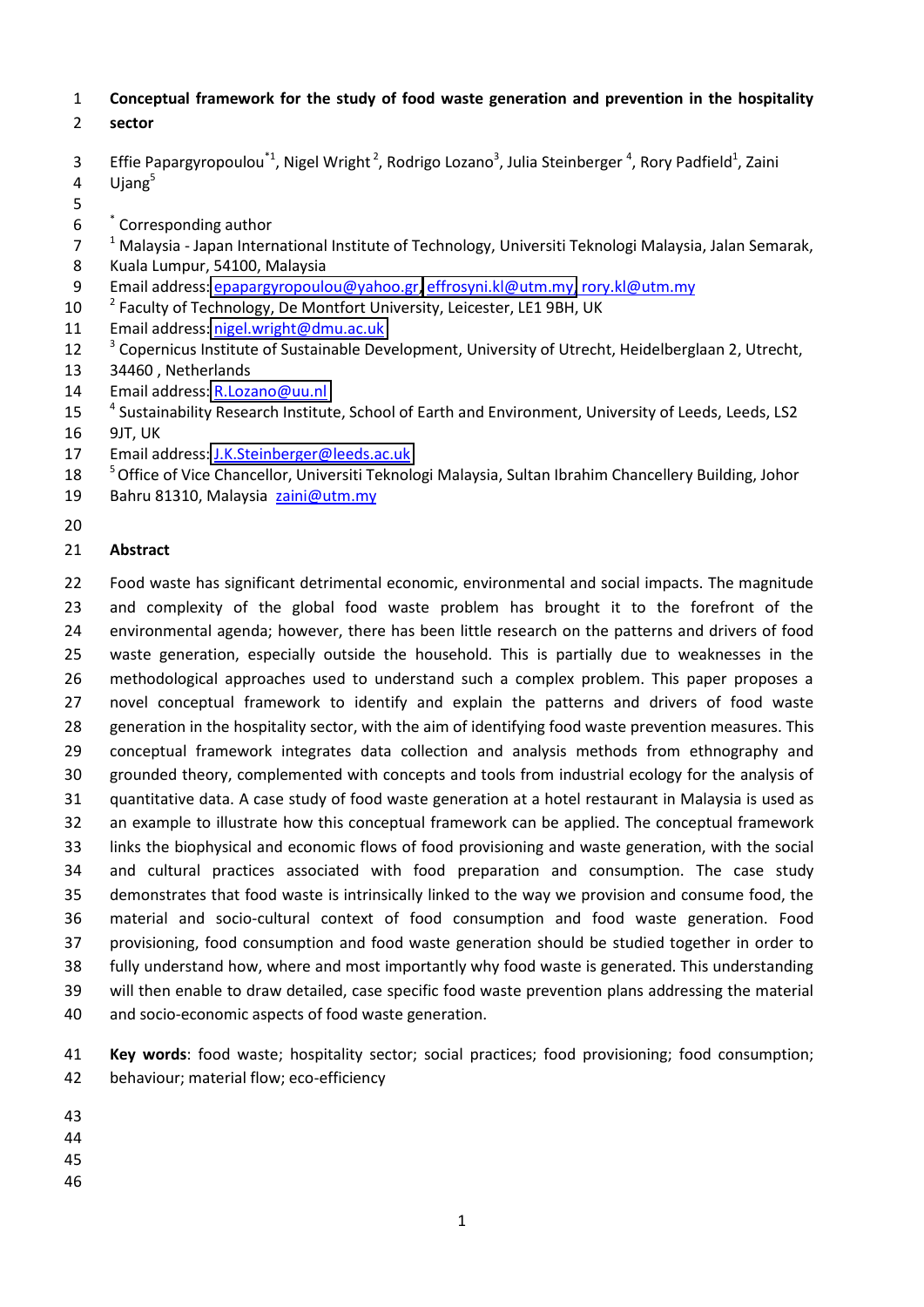# **Conceptual framework for the study of food waste generation and prevention in the hospitality**

- **sector**
- 3 Effie Papargyropoulou<sup>\*1</sup>, Nigel Wright<sup>2</sup>, Rodrigo Lozano<sup>3</sup>, Julia Steinberger <sup>4</sup>, Rory Padfield<sup>1</sup>, Zaini Ujang
- 
- 6 <sup>\*</sup> Corresponding author
- 7 <sup>1</sup> Malaysia Japan International Institute of Technology, Universiti Teknologi Malaysia, Jalan Semarak,
- 8 Kuala Lumpur, 54100, Malaysia
- 9 Email address: [epapargyropoulou@yahoo.gr,](mailto:epapargyropoulou@yahoo.gr) [effrosyni.kl@utm.my,](mailto:effrosyni.kl@utm.my) rory.kl@utm.my
- 10 <sup>2</sup> Faculty of Technology, De Montfort University, Leicester, LE1 9BH, UK
- Email address: [nigel.wright@dmu.ac.uk](mailto:nigel.wright@dmu.ac.uk)
- 12 <sup>3</sup> Copernicus Institute of Sustainable Development, University of Utrecht, Heidelberglaan 2, Utrecht,
- 34460 , Netherlands
- Email address: [R.Lozano@uu.nl](mailto:R.Lozano@uu.nl)
- 15 <sup>4</sup> Sustainability Research Institute, School of Earth and Environment, University of Leeds, Leeds, LS2 9JT, UK
- Email address: [J.K.Steinberger@leeds.ac.uk](http://gr-mg42.mail.yahoo.com/yab-fe/mu/MainView?.src=neo&themeName=fresh&bn=52_8846&s=0&isFresh=1&bucketId=0&stab=1376274403065)
- 18 <sup>5</sup> Office of Vice Chancellor, Universiti Teknologi Malaysia, Sultan Ibrahim Chancellery Building, Johor
- 19 Bahru 81310, Malaysia zaini@utm.my
- 

# **Abstract**

 Food waste has significant detrimental economic, environmental and social impacts. The magnitude and complexity of the global food waste problem has brought it to the forefront of the environmental agenda; however, there has been little research on the patterns and drivers of food waste generation, especially outside the household. This is partially due to weaknesses in the methodological approaches used to understand such a complex problem. This paper proposes a novel conceptual framework to identify and explain the patterns and drivers of food waste generation in the hospitality sector, with the aim of identifying food waste prevention measures. This conceptual framework integrates data collection and analysis methods from ethnography and grounded theory, complemented with concepts and tools from industrial ecology for the analysis of quantitative data. A case study of food waste generation at a hotel restaurant in Malaysia is used as an example to illustrate how this conceptual framework can be applied. The conceptual framework links the biophysical and economic flows of food provisioning and waste generation, with the social and cultural practices associated with food preparation and consumption. The case study demonstrates that food waste is intrinsically linked to the way we provision and consume food, the material and socio-cultural context of food consumption and food waste generation. Food provisioning, food consumption and food waste generation should be studied together in order to fully understand how, where and most importantly why food waste is generated. This understanding will then enable to draw detailed, case specific food waste prevention plans addressing the material and socio-economic aspects of food waste generation.

 **Key words**: food waste; hospitality sector; social practices; food provisioning; food consumption; behaviour; material flow; eco-efficiency

- 
- 
- 
-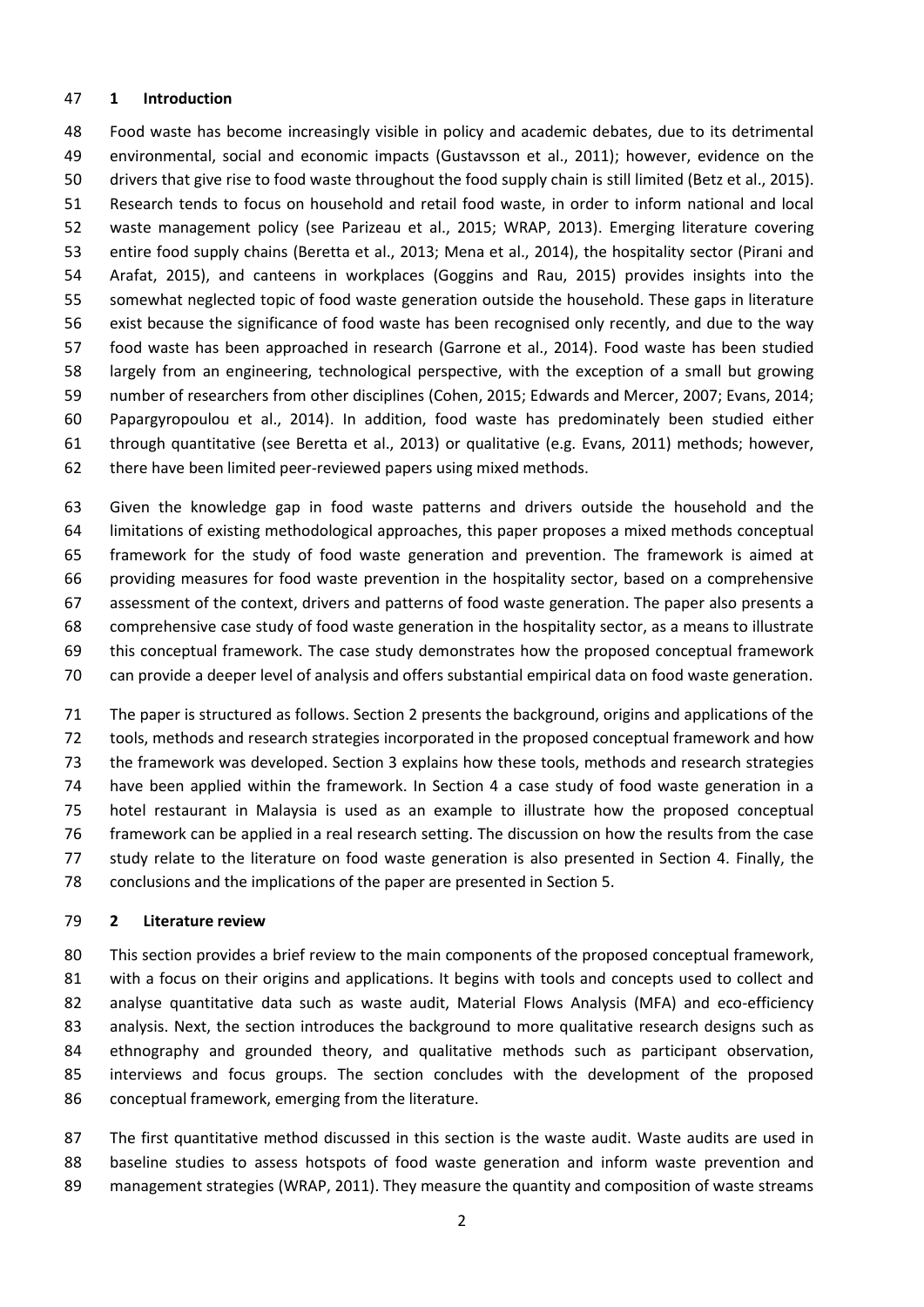### **1 Introduction**

 Food waste has become increasingly visible in policy and academic debates, due to its detrimental environmental, social and economic impacts (Gustavsson et al., 2011); however, evidence on the drivers that give rise to food waste throughout the food supply chain is still limited (Betz et al., 2015). Research tends to focus on household and retail food waste, in order to inform national and local waste management policy (see Parizeau et al., 2015; WRAP, 2013). Emerging literature covering entire food supply chains (Beretta et al., 2013; Mena et al., 2014), the hospitality sector (Pirani and Arafat, 2015), and canteens in workplaces (Goggins and Rau, 2015) provides insights into the somewhat neglected topic of food waste generation outside the household. These gaps in literature exist because the significance of food waste has been recognised only recently, and due to the way food waste has been approached in research (Garrone et al., 2014). Food waste has been studied largely from an engineering, technological perspective, with the exception of a small but growing number of researchers from other disciplines (Cohen, 2015; Edwards and Mercer, 2007; Evans, 2014; Papargyropoulou et al., 2014). In addition, food waste has predominately been studied either through quantitative (see Beretta et al., 2013) or qualitative (e.g. Evans, 2011) methods; however, there have been limited peer-reviewed papers using mixed methods.

 Given the knowledge gap in food waste patterns and drivers outside the household and the limitations of existing methodological approaches, this paper proposes a mixed methods conceptual framework for the study of food waste generation and prevention. The framework is aimed at providing measures for food waste prevention in the hospitality sector, based on a comprehensive assessment of the context, drivers and patterns of food waste generation. The paper also presents a comprehensive case study of food waste generation in the hospitality sector, as a means to illustrate this conceptual framework. The case study demonstrates how the proposed conceptual framework can provide a deeper level of analysis and offers substantial empirical data on food waste generation.

 The paper is structured as follows. Section 2 presents the background, origins and applications of the tools, methods and research strategies incorporated in the proposed conceptual framework and how the framework was developed. Section 3 explains how these tools, methods and research strategies have been applied within the framework. In Section 4 a case study of food waste generation in a hotel restaurant in Malaysia is used as an example to illustrate how the proposed conceptual framework can be applied in a real research setting. The discussion on how the results from the case study relate to the literature on food waste generation is also presented in Section 4. Finally, the conclusions and the implications of the paper are presented in Section 5.

## **2 Literature review**

 This section provides a brief review to the main components of the proposed conceptual framework, with a focus on their origins and applications. It begins with tools and concepts used to collect and analyse quantitative data such as waste audit, Material Flows Analysis (MFA) and eco-efficiency 83 analysis. Next, the section introduces the background to more qualitative research designs such as ethnography and grounded theory, and qualitative methods such as participant observation, interviews and focus groups. The section concludes with the development of the proposed conceptual framework, emerging from the literature.

 The first quantitative method discussed in this section is the waste audit. Waste audits are used in baseline studies to assess hotspots of food waste generation and inform waste prevention and management strategies (WRAP, 2011). They measure the quantity and composition of waste streams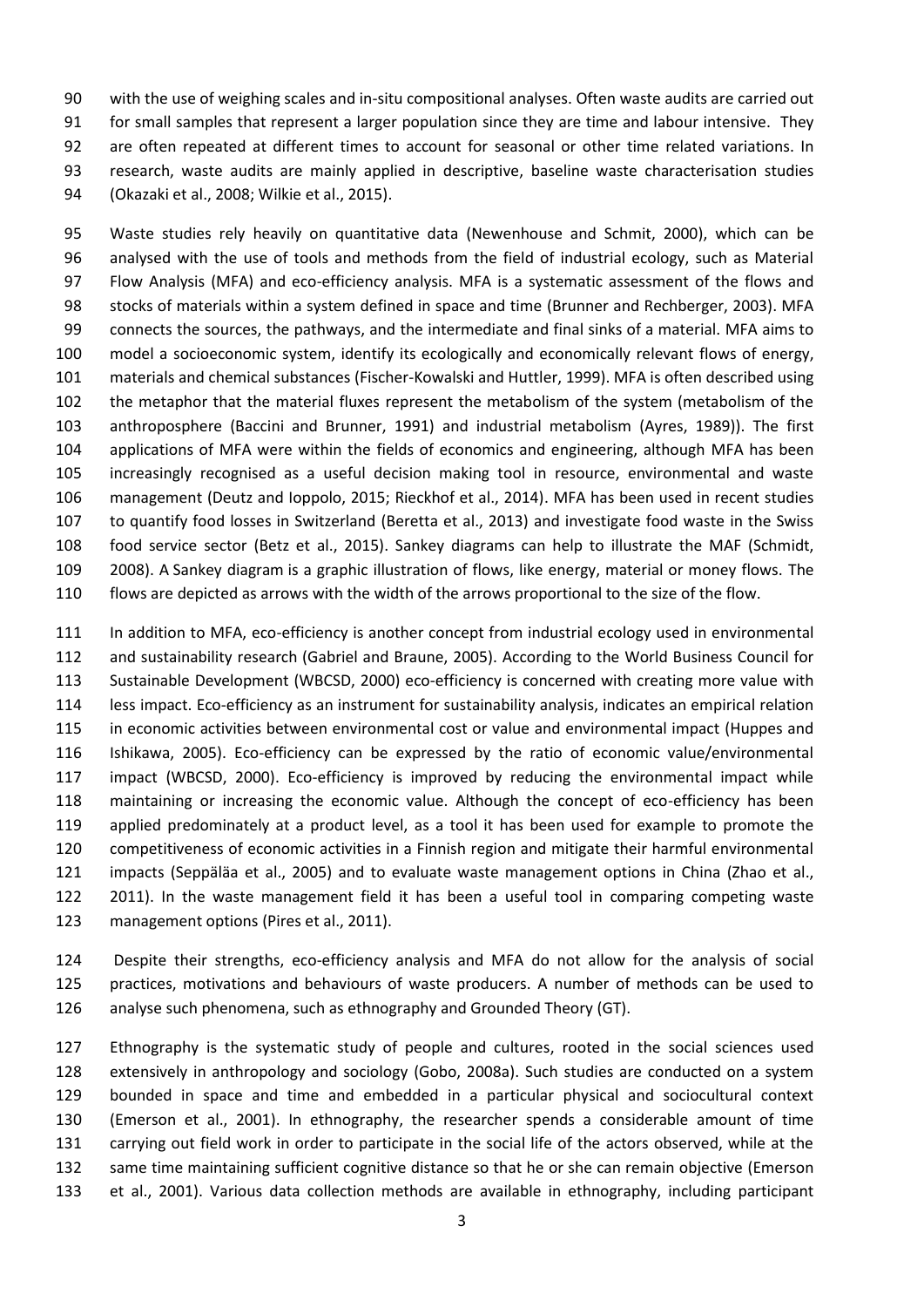with the use of weighing scales and in-situ compositional analyses. Often waste audits are carried out for small samples that represent a larger population since they are time and labour intensive. They are often repeated at different times to account for seasonal or other time related variations. In research, waste audits are mainly applied in descriptive, baseline waste characterisation studies (Okazaki et al., 2008; Wilkie et al., 2015).

 Waste studies rely heavily on quantitative data (Newenhouse and Schmit, 2000), which can be analysed with the use of tools and methods from the field of industrial ecology, such as Material Flow Analysis (MFA) and eco-efficiency analysis. MFA is a systematic assessment of the flows and stocks of materials within a system defined in space and time (Brunner and Rechberger, 2003). MFA connects the sources, the pathways, and the intermediate and final sinks of a material. MFA aims to model a socioeconomic system, identify its ecologically and economically relevant flows of energy, materials and chemical substances (Fischer-Kowalski and Huttler, 1999). MFA is often described using the metaphor that the material fluxes represent the metabolism of the system (metabolism of the anthroposphere (Baccini and Brunner, 1991) and industrial metabolism (Ayres, 1989)). The first applications of MFA were within the fields of economics and engineering, although MFA has been increasingly recognised as a useful decision making tool in resource, environmental and waste management (Deutz and Ioppolo, 2015; Rieckhof et al., 2014). MFA has been used in recent studies to quantify food losses in Switzerland (Beretta et al., 2013) and investigate food waste in the Swiss food service sector (Betz et al., 2015). Sankey diagrams can help to illustrate the MAF (Schmidt, 2008). A Sankey diagram is a graphic illustration of flows, like energy, material or money flows. The flows are depicted as arrows with the width of the arrows proportional to the size of the flow.

 In addition to MFA, eco-efficiency is another concept from industrial ecology used in environmental and sustainability research (Gabriel and Braune, 2005). According to the World Business Council for Sustainable Development (WBCSD, 2000) eco-efficiency is concerned with creating more value with less impact. Eco-efficiency as an instrument for sustainability analysis, indicates an empirical relation in economic activities between environmental cost or value and environmental impact (Huppes and Ishikawa, 2005). Eco-efficiency can be expressed by the ratio of economic value/environmental impact (WBCSD, 2000). Eco-efficiency is improved by reducing the environmental impact while maintaining or increasing the economic value. Although the concept of eco-efficiency has been applied predominately at a product level, as a tool it has been used for example to promote the competitiveness of economic activities in a Finnish region and mitigate their harmful environmental 121 impacts (Seppäläa et al., 2005) and to evaluate waste management options in China (Zhao et al., 2011). In the waste management field it has been a useful tool in comparing competing waste management options (Pires et al., 2011).

124 Despite their strengths, eco-efficiency analysis and MFA do not allow for the analysis of social practices, motivations and behaviours of waste producers. A number of methods can be used to analyse such phenomena, such as ethnography and Grounded Theory (GT).

 Ethnography is the systematic study of people and cultures, rooted in the social sciences used extensively in anthropology and sociology (Gobo, 2008a). Such studies are conducted on a system bounded in space and time and embedded in a particular physical and sociocultural context (Emerson et al., 2001). In ethnography, the researcher spends a considerable amount of time carrying out field work in order to participate in the social life of the actors observed, while at the same time maintaining sufficient cognitive distance so that he or she can remain objective (Emerson et al., 2001). Various data collection methods are available in ethnography, including participant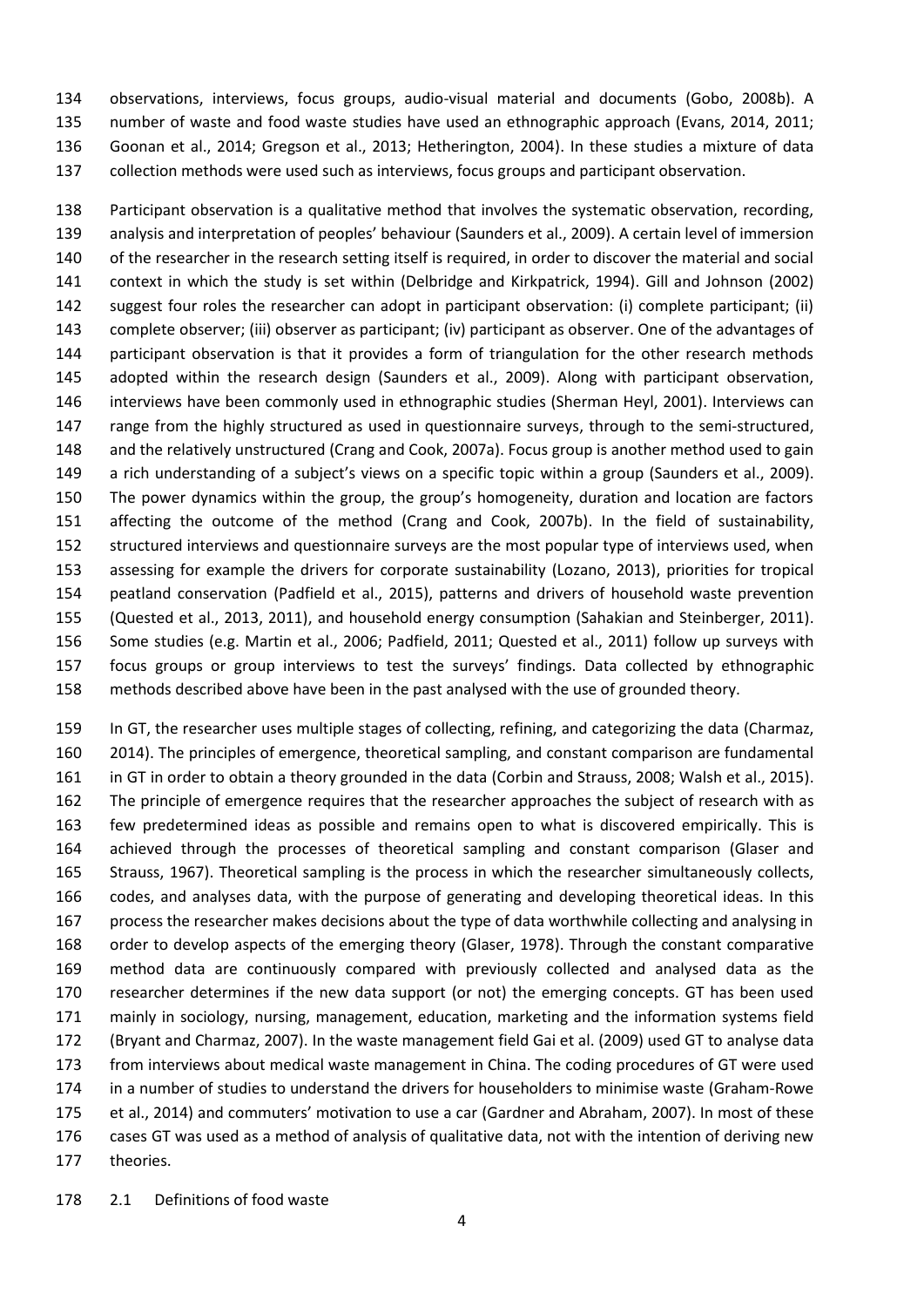observations, interviews, focus groups, audio-visual material and documents (Gobo, 2008b). A number of waste and food waste studies have used an ethnographic approach (Evans, 2014, 2011; Goonan et al., 2014; Gregson et al., 2013; Hetherington, 2004). In these studies a mixture of data collection methods were used such as interviews, focus groups and participant observation.

 Participant observation is a qualitative method that involves the systematic observation, recording, 139 analysis and interpretation of peoples' behaviour (Saunders et al., 2009). A certain level of immersion of the researcher in the research setting itself is required, in order to discover the material and social context in which the study is set within (Delbridge and Kirkpatrick, 1994). Gill and Johnson (2002) suggest four roles the researcher can adopt in participant observation: (i) complete participant; (ii) complete observer; (iii) observer as participant; (iv) participant as observer. One of the advantages of participant observation is that it provides a form of triangulation for the other research methods adopted within the research design (Saunders et al., 2009). Along with participant observation, interviews have been commonly used in ethnographic studies (Sherman Heyl, 2001). Interviews can range from the highly structured as used in questionnaire surveys, through to the semi-structured, and the relatively unstructured (Crang and Cook, 2007a). Focus group is another method used to gain 149 a rich understanding of a subject's views on a specific topic within a group (Saunders et al., 2009). 150 The power dynamics within the group, the group's homogeneity, duration and location are factors affecting the outcome of the method (Crang and Cook, 2007b). In the field of sustainability, structured interviews and questionnaire surveys are the most popular type of interviews used, when assessing for example the drivers for corporate sustainability (Lozano, 2013), priorities for tropical peatland conservation (Padfield et al., 2015), patterns and drivers of household waste prevention (Quested et al., 2013, 2011), and household energy consumption (Sahakian and Steinberger, 2011). Some studies (e.g. Martin et al., 2006; Padfield, 2011; Quested et al., 2011) follow up surveys with 157 focus groups or group interviews to test the surveys' findings. Data collected by ethnographic methods described above have been in the past analysed with the use of grounded theory.

 In GT, the researcher uses multiple stages of collecting, refining, and categorizing the data (Charmaz, 2014). The principles of emergence, theoretical sampling, and constant comparison are fundamental in GT in order to obtain a theory grounded in the data (Corbin and Strauss, 2008; Walsh et al., 2015). The principle of emergence requires that the researcher approaches the subject of research with as few predetermined ideas as possible and remains open to what is discovered empirically. This is achieved through the processes of theoretical sampling and constant comparison (Glaser and Strauss, 1967). Theoretical sampling is the process in which the researcher simultaneously collects, codes, and analyses data, with the purpose of generating and developing theoretical ideas. In this process the researcher makes decisions about the type of data worthwhile collecting and analysing in order to develop aspects of the emerging theory (Glaser, 1978). Through the constant comparative method data are continuously compared with previously collected and analysed data as the researcher determines if the new data support (or not) the emerging concepts. GT has been used mainly in sociology, nursing, management, education, marketing and the information systems field (Bryant and Charmaz, 2007). In the waste management field Gai et al. (2009) used GT to analyse data from interviews about medical waste management in China. The coding procedures of GT were used in a number of studies to understand the drivers for householders to minimise waste (Graham-Rowe 175 et al., 2014) and commuters' motivation to use a car (Gardner and Abraham, 2007). In most of these cases GT was used as a method of analysis of qualitative data, not with the intention of deriving new theories.

2.1 Definitions of food waste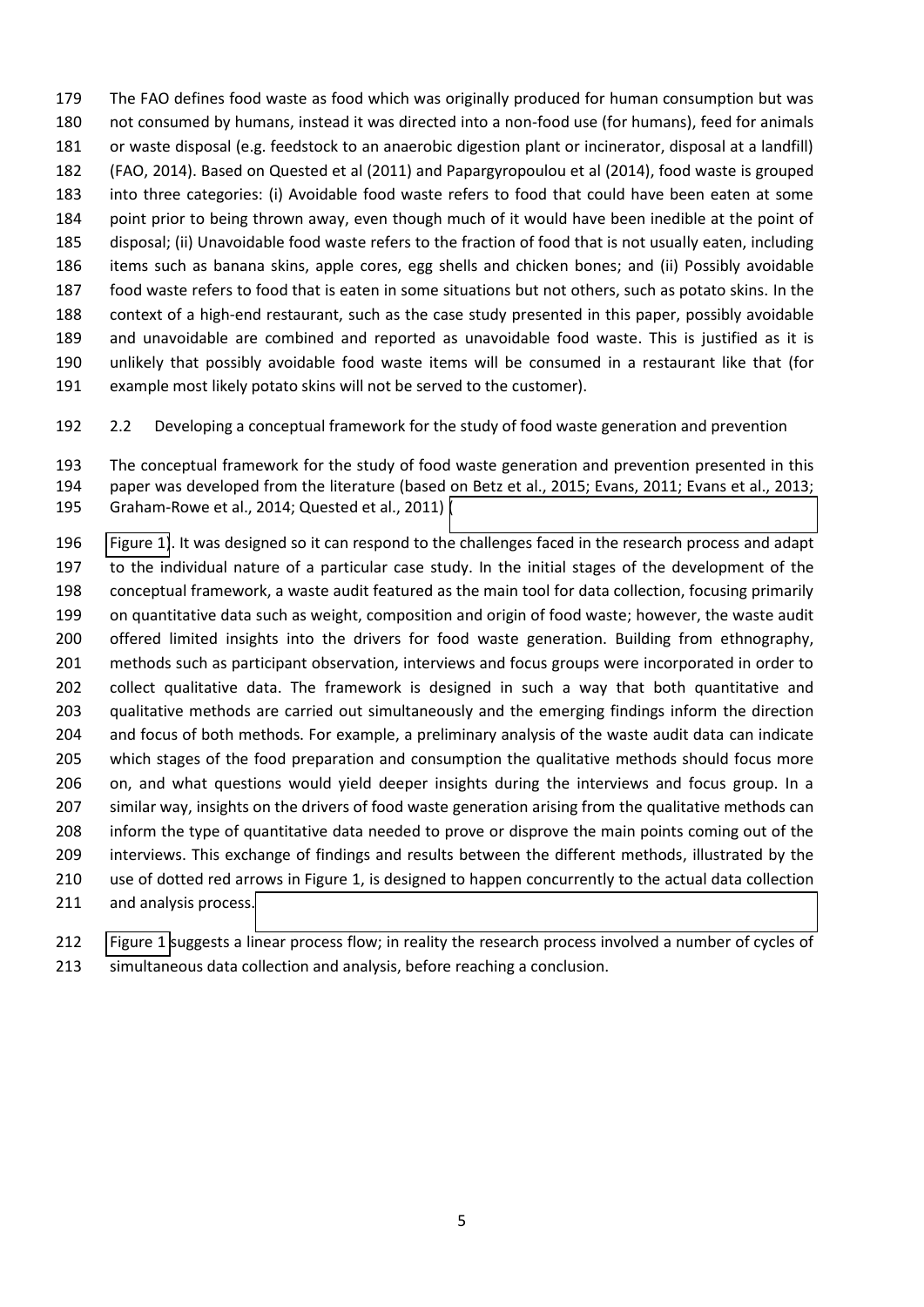The FAO defines food waste as food which was originally produced for human consumption but was not consumed by humans, instead it was directed into a non-food use (for humans), feed for animals or waste disposal (e.g. feedstock to an anaerobic digestion plant or incinerator, disposal at a landfill) (FAO, 2014). Based on Quested et al (2011) and Papargyropoulou et al (2014), food waste is grouped into three categories: (i) Avoidable food waste refers to food that could have been eaten at some point prior to being thrown away, even though much of it would have been inedible at the point of disposal; (ii) Unavoidable food waste refers to the fraction of food that is not usually eaten, including items such as banana skins, apple cores, egg shells and chicken bones; and (ii) Possibly avoidable food waste refers to food that is eaten in some situations but not others, such as potato skins. In the context of a high-end restaurant, such as the case study presented in this paper, possibly avoidable and unavoidable are combined and reported as unavoidable food waste. This is justified as it is unlikely that possibly avoidable food waste items will be consumed in a restaurant like that (for example most likely potato skins will not be served to the customer).

2.2 Developing a conceptual framework for the study of food waste generation and prevention

 The conceptual framework for the study of food waste generation and prevention presented in this paper was developed from the literature (based on Betz et al., 2015; Evans, 2011; Evans et al., 2013; Graham-Rowe et al., 2014; Quested et al., 2011) [\(](#page-4-0) 

<span id="page-4-0"></span> [Figure 1\)](#page-4-0). It was designed so it can respond to the challenges faced in the research process and adapt to the individual nature of a particular case study. In the initial stages of the development of the conceptual framework, a waste audit featured as the main tool for data collection, focusing primarily on quantitative data such as weight, composition and origin of food waste; however, the waste audit offered limited insights into the drivers for food waste generation. Building from ethnography, methods such as participant observation, interviews and focus groups were incorporated in order to collect qualitative data. The framework is designed in such a way that both quantitative and 203 qualitative methods are carried out simultaneously and the emerging findings inform the direction and focus of both methods. For example, a preliminary analysis of the waste audit data can indicate which stages of the food preparation and consumption the qualitative methods should focus more on, and what questions would yield deeper insights during the interviews and focus group. In a similar way, insights on the drivers of food waste generation arising from the qualitative methods can inform the type of quantitative data needed to prove or disprove the main points coming out of the interviews. This exchange of findings and results between the different methods, illustrated by the use of dotted red arrows in Figure 1, is designed to happen concurrently to the actual data collection and analysis process.

 [Figure 1](#page-4-0) suggests a linear process flow; in reality the research process involved a number of cycles of simultaneous data collection and analysis, before reaching a conclusion.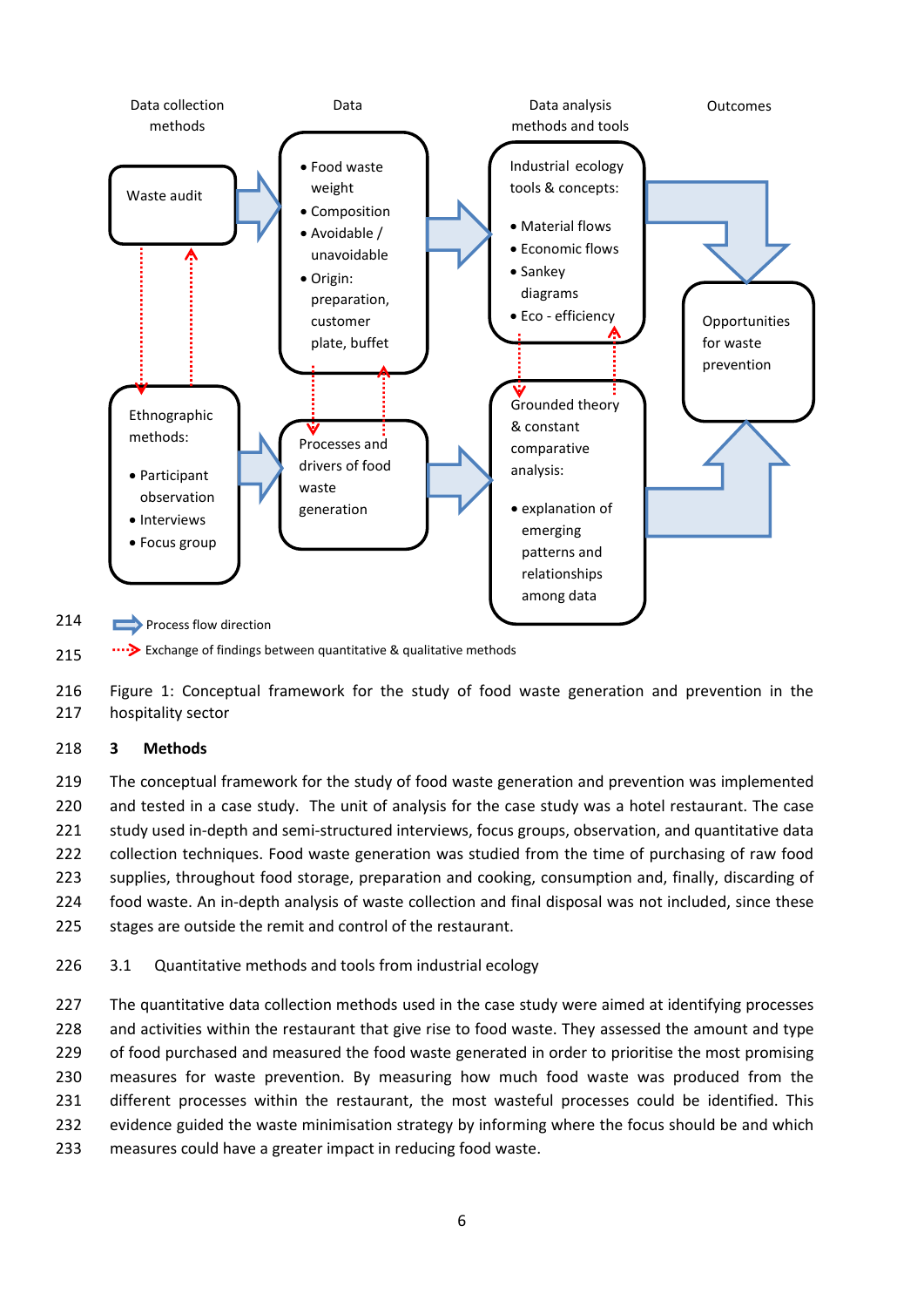

215 **....** Exchange of findings between quantitative & qualitative methods

216 Figure 1: Conceptual framework for the study of food waste generation and prevention in the 217 hospitality sector

## 218 **3 Methods**

<span id="page-5-0"></span> The conceptual framework for the study of food waste generation and prevention was implemented and tested in a case study. The unit of analysis for the case study was a hotel restaurant. The case 221 study used in-depth and semi-structured interviews, focus groups, observation, and quantitative data collection techniques. Food waste generation was studied from the time of purchasing of raw food supplies, throughout food storage, preparation and cooking, consumption and, finally, discarding of food waste. An in-depth analysis of waste collection and final disposal was not included, since these 225 stages are outside the remit and control of the restaurant.

226 3.1 Quantitative methods and tools from industrial ecology

 The quantitative data collection methods used in the case study were aimed at identifying processes and activities within the restaurant that give rise to food waste. They assessed the amount and type 229 of food purchased and measured the food waste generated in order to prioritise the most promising measures for waste prevention. By measuring how much food waste was produced from the different processes within the restaurant, the most wasteful processes could be identified. This evidence guided the waste minimisation strategy by informing where the focus should be and which measures could have a greater impact in reducing food waste.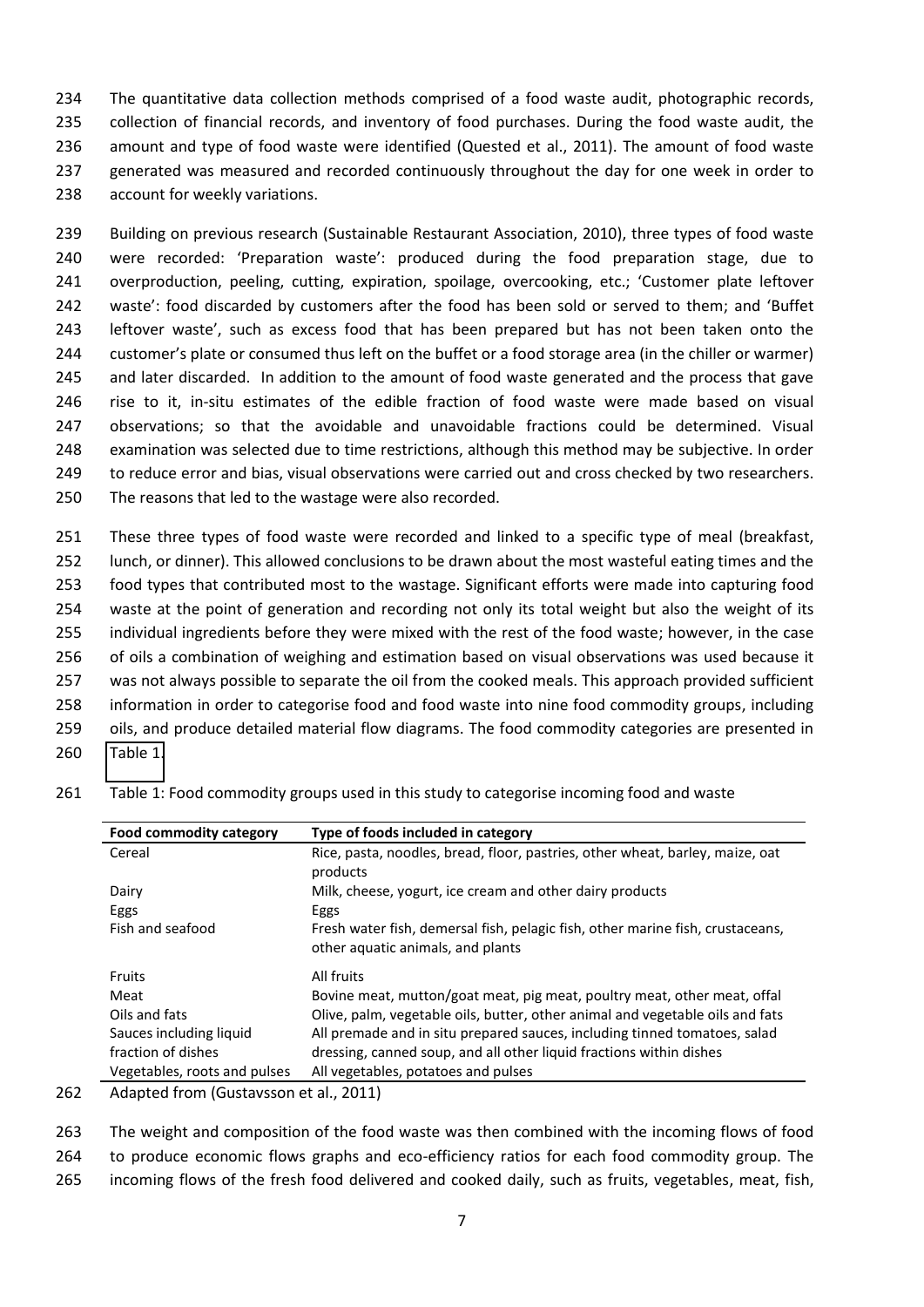The quantitative data collection methods comprised of a food waste audit, photographic records, collection of financial records, and inventory of food purchases. During the food waste audit, the amount and type of food waste were identified (Quested et al., 2011). The amount of food waste generated was measured and recorded continuously throughout the day for one week in order to account for weekly variations.

239 Building on previous research (Sustainable Restaurant Association, 2010), three types of food waste 240 were recorded: 'Preparation waste': produced during the food preparation stage, due to 241 overproduction, peeling, cutting, expiration, spoilage, overcooking, etc.; 'Customer plate leftover 242 waste': food discarded by customers after the food has been sold or served to them; and 'Buffet 243 leftover waste', such as excess food that has been prepared but has not been taken onto the 244 customer's plate or consumed thus left on the buffet or a food storage area (in the chiller or warmer) 245 and later discarded. In addition to the amount of food waste generated and the process that gave 246 rise to it, in-situ estimates of the edible fraction of food waste were made based on visual 247 observations; so that the avoidable and unavoidable fractions could be determined. Visual 248 examination was selected due to time restrictions, although this method may be subjective. In order 249 to reduce error and bias, visual observations were carried out and cross checked by two researchers. 250 The reasons that led to the wastage were also recorded.

 These three types of food waste were recorded and linked to a specific type of meal (breakfast, lunch, or dinner). This allowed conclusions to be drawn about the most wasteful eating times and the food types that contributed most to the wastage. Significant efforts were made into capturing food waste at the point of generation and recording not only its total weight but also the weight of its individual ingredients before they were mixed with the rest of the food waste; however, in the case of oils a combination of weighing and estimation based on visual observations was used because it was not always possible to separate the oil from the cooked meals. This approach provided sufficient information in order to categorise food and food waste into nine food commodity groups, including oils, and produce detailed material flow diagrams. The food commodity categories are presented in [Table 1.](#page-5-0)

| <b>Food commodity category</b> | Type of foods included in category                                                                                  |
|--------------------------------|---------------------------------------------------------------------------------------------------------------------|
| Cereal                         | Rice, pasta, noodles, bread, floor, pastries, other wheat, barley, maize, oat<br>products                           |
| Dairy                          | Milk, cheese, yogurt, ice cream and other dairy products                                                            |
| Eggs                           | Eggs                                                                                                                |
| Fish and seafood               | Fresh water fish, demersal fish, pelagic fish, other marine fish, crustaceans,<br>other aquatic animals, and plants |
| <b>Fruits</b>                  | All fruits                                                                                                          |
| Meat                           | Bovine meat, mutton/goat meat, pig meat, poultry meat, other meat, offal                                            |
| Oils and fats                  | Olive, palm, vegetable oils, butter, other animal and vegetable oils and fats                                       |
| Sauces including liquid        | All premade and in situ prepared sauces, including tinned tomatoes, salad                                           |
| fraction of dishes             | dressing, canned soup, and all other liquid fractions within dishes                                                 |
| Vegetables, roots and pulses   | All vegetables, potatoes and pulses                                                                                 |

261 Table 1: Food commodity groups used in this study to categorise incoming food and waste

262 Adapted from (Gustavsson et al., 2011)

263 The weight and composition of the food waste was then combined with the incoming flows of food 264 to produce economic flows graphs and eco-efficiency ratios for each food commodity group. The 265 incoming flows of the fresh food delivered and cooked daily, such as fruits, vegetables, meat, fish,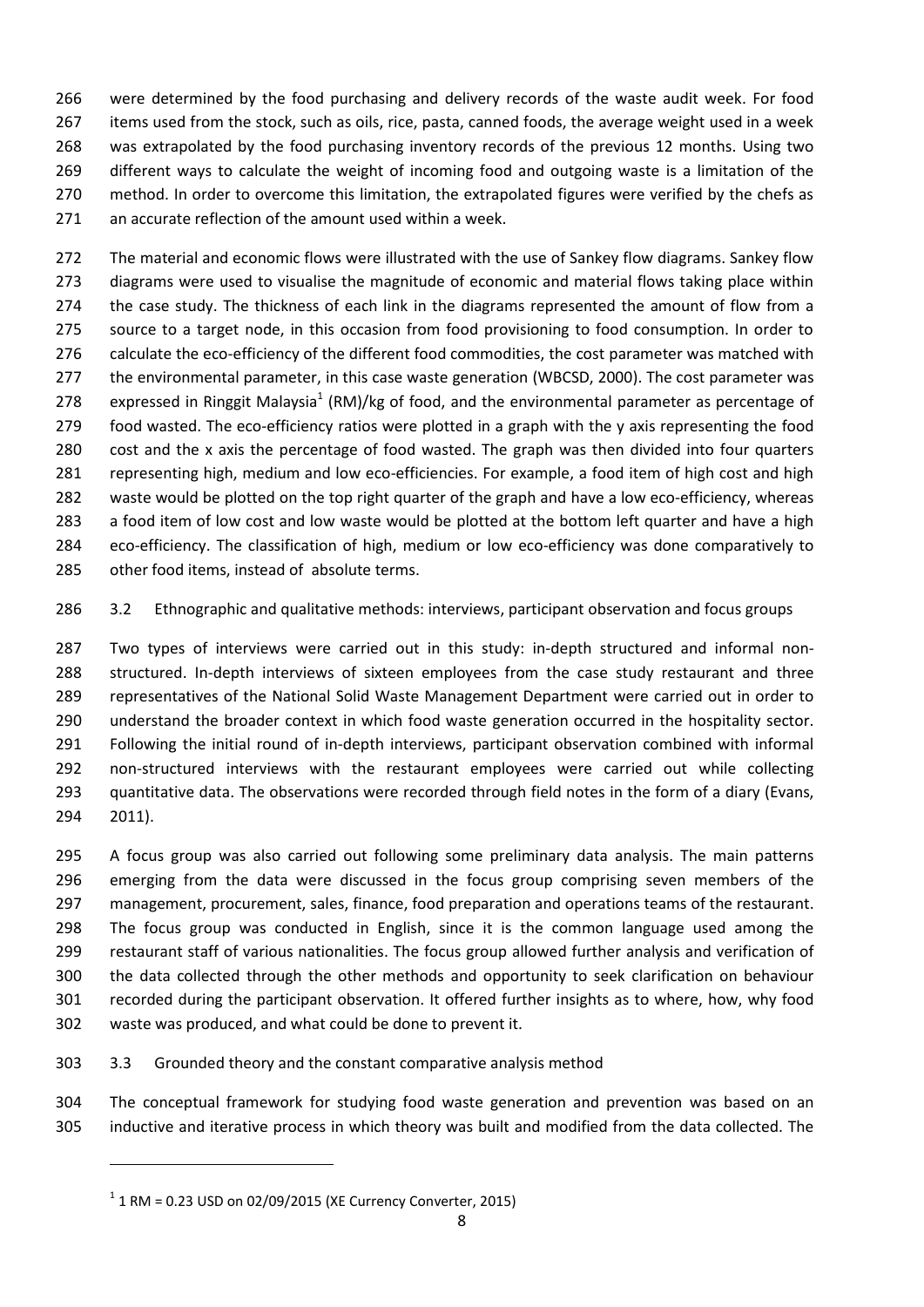were determined by the food purchasing and delivery records of the waste audit week. For food items used from the stock, such as oils, rice, pasta, canned foods, the average weight used in a week was extrapolated by the food purchasing inventory records of the previous 12 months. Using two different ways to calculate the weight of incoming food and outgoing waste is a limitation of the 270 method. In order to overcome this limitation, the extrapolated figures were verified by the chefs as an accurate reflection of the amount used within a week.

 The material and economic flows were illustrated with the use of Sankey flow diagrams. Sankey flow diagrams were used to visualise the magnitude of economic and material flows taking place within 274 the case study. The thickness of each link in the diagrams represented the amount of flow from a 275 source to a target node, in this occasion from food provisioning to food consumption. In order to calculate the eco-efficiency of the different food commodities, the cost parameter was matched with the environmental parameter, in this case waste generation (WBCSD, 2000). The cost parameter was 278 expressed in Ringgit Malaysia<sup>1</sup> (RM)/kg of food, and the environmental parameter as percentage of food wasted. The eco-efficiency ratios were plotted in a graph with the y axis representing the food cost and the x axis the percentage of food wasted. The graph was then divided into four quarters representing high, medium and low eco-efficiencies. For example, a food item of high cost and high waste would be plotted on the top right quarter of the graph and have a low eco-efficiency, whereas a food item of low cost and low waste would be plotted at the bottom left quarter and have a high eco-efficiency. The classification of high, medium or low eco-efficiency was done comparatively to other food items, instead of absolute terms.

3.2 Ethnographic and qualitative methods: interviews, participant observation and focus groups

 Two types of interviews were carried out in this study: in-depth structured and informal non- structured. In-depth interviews of sixteen employees from the case study restaurant and three representatives of the National Solid Waste Management Department were carried out in order to understand the broader context in which food waste generation occurred in the hospitality sector. Following the initial round of in-depth interviews, participant observation combined with informal non-structured interviews with the restaurant employees were carried out while collecting quantitative data. The observations were recorded through field notes in the form of a diary (Evans, 2011).

<span id="page-7-0"></span> A focus group was also carried out following some preliminary data analysis. The main patterns emerging from the data were discussed in the focus group comprising seven members of the management, procurement, sales, finance, food preparation and operations teams of the restaurant. The focus group was conducted in English, since it is the common language used among the restaurant staff of various nationalities. The focus group allowed further analysis and verification of the data collected through the other methods and opportunity to seek clarification on behaviour recorded during the participant observation. It offered further insights as to where, how, why food waste was produced, and what could be done to prevent it.

3.3 Grounded theory and the constant comparative analysis method

 The conceptual framework for studying food waste generation and prevention was based on an inductive and iterative process in which theory was built and modified from the data collected. The

-

1 RM = 0.23 USD on 02/09/2015 (XE Currency Converter, 2015)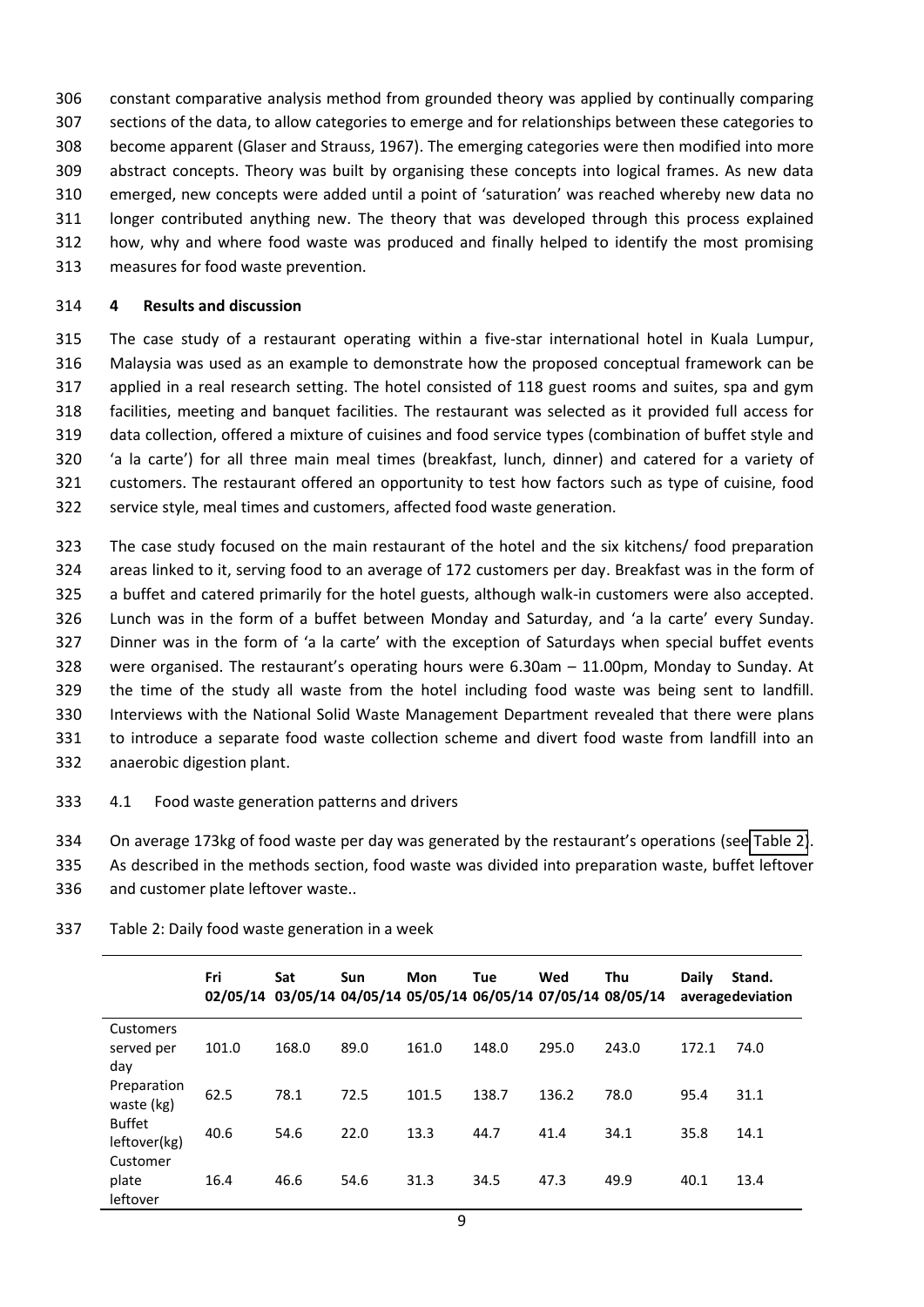constant comparative analysis method from grounded theory was applied by continually comparing sections of the data, to allow categories to emerge and for relationships between these categories to become apparent (Glaser and Strauss, 1967). The emerging categories were then modified into more abstract concepts. Theory was built by organising these concepts into logical frames. As new data 310 emerged, new concepts were added until a point of 'saturation' was reached whereby new data no longer contributed anything new. The theory that was developed through this process explained how, why and where food waste was produced and finally helped to identify the most promising measures for food waste prevention.

# 314 **4 Results and discussion**

 The case study of a restaurant operating within a five-star international hotel in Kuala Lumpur, Malaysia was used as an example to demonstrate how the proposed conceptual framework can be applied in a real research setting. The hotel consisted of 118 guest rooms and suites, spa and gym facilities, meeting and banquet facilities. The restaurant was selected as it provided full access for data collection, offered a mixture of cuisines and food service types (combination of buffet style and 320 'a la carte') for all three main meal times (breakfast, lunch, dinner) and catered for a variety of customers. The restaurant offered an opportunity to test how factors such as type of cuisine, food service style, meal times and customers, affected food waste generation.

 The case study focused on the main restaurant of the hotel and the six kitchens/ food preparation areas linked to it, serving food to an average of 172 customers per day. Breakfast was in the form of a buffet and catered primarily for the hotel guests, although walk-in customers were also accepted. 326 Lunch was in the form of a buffet between Monday and Saturday, and 'a la carte' every Sunday. 327 Dinner was in the form of 'a la carte' with the exception of Saturdays when special buffet events 328 were organised. The restaurant's operating hours were 6.30am - 11.00pm, Monday to Sunday. At the time of the study all waste from the hotel including food waste was being sent to landfill. Interviews with the National Solid Waste Management Department revealed that there were plans to introduce a separate food waste collection scheme and divert food waste from landfill into an anaerobic digestion plant.

333 4.1 Food waste generation patterns and drivers

334 On average 173kg of food waste per day was generated by the restaurant's operations (see [Table 2\)](#page-7-0).

335 As described in the methods section, food waste was divided into preparation waste, buffet leftover

336 and customer plate leftover waste..

|                                | Fri   | Sat   | Sun  | Mon   | Tue   | Wed   | Thu<br>02/05/14 03/05/14 04/05/14 05/05/14 06/05/14 07/05/14 08/05/14 | <b>Daily</b> | Stand.<br>averagedeviation |
|--------------------------------|-------|-------|------|-------|-------|-------|-----------------------------------------------------------------------|--------------|----------------------------|
| Customers<br>served per<br>day | 101.0 | 168.0 | 89.0 | 161.0 | 148.0 | 295.0 | 243.0                                                                 | 172.1        | 74.0                       |
| Preparation<br>waste (kg)      | 62.5  | 78.1  | 72.5 | 101.5 | 138.7 | 136.2 | 78.0                                                                  | 95.4         | 31.1                       |
| <b>Buffet</b><br>leftover(kg)  | 40.6  | 54.6  | 22.0 | 13.3  | 44.7  | 41.4  | 34.1                                                                  | 35.8         | 14.1                       |
| Customer<br>plate<br>leftover  | 16.4  | 46.6  | 54.6 | 31.3  | 34.5  | 47.3  | 49.9                                                                  | 40.1         | 13.4                       |

337 Table 2: Daily food waste generation in a week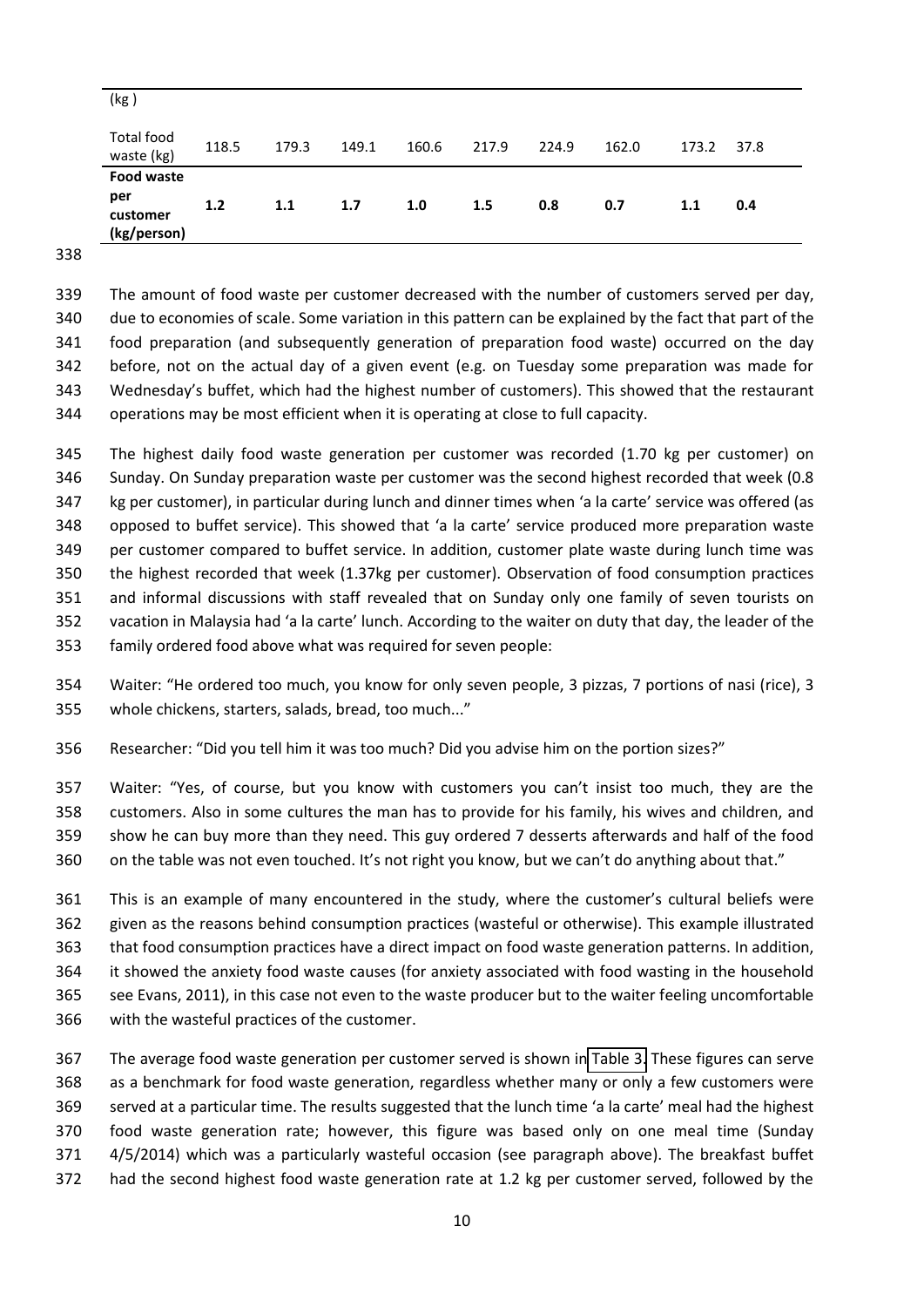| <b>Food waste</b><br>per<br>customer<br>(kg/person) | 1.2   | 1.1   | 1.7   | 1.0   | 1.5   | 0.8   | 0.7   | 1.1   | 0.4  |  |
|-----------------------------------------------------|-------|-------|-------|-------|-------|-------|-------|-------|------|--|
| Total food<br>waste (kg)                            | 118.5 | 179.3 | 149.1 | 160.6 | 217.9 | 224.9 | 162.0 | 173.2 | 37.8 |  |
| (kg)                                                |       |       |       |       |       |       |       |       |      |  |

<span id="page-9-0"></span> The amount of food waste per customer decreased with the number of customers served per day, due to economies of scale. Some variation in this pattern can be explained by the fact that part of the food preparation (and subsequently generation of preparation food waste) occurred on the day before, not on the actual day of a given event (e.g. on Tuesday some preparation was made for 343 Wednesday's buffet, which had the highest number of customers). This showed that the restaurant operations may be most efficient when it is operating at close to full capacity.

 The highest daily food waste generation per customer was recorded (1.70 kg per customer) on Sunday. On Sunday preparation waste per customer was the second highest recorded that week (0.8 347 kg per customer), in particular during lunch and dinner times when 'a la carte' service was offered (as 348 opposed to buffet service). This showed that 'a la carte' service produced more preparation waste per customer compared to buffet service. In addition, customer plate waste during lunch time was the highest recorded that week (1.37kg per customer). Observation of food consumption practices and informal discussions with staff revealed that on Sunday only one family of seven tourists on 352 vacation in Malaysia had 'a la carte' lunch. According to the waiter on duty that day, the leader of the family ordered food above what was required for seven people:

354 Waiter: "He ordered too much, you know for only seven people, 3 pizzas, 7 portions of nasi (rice), 3 355 whole chickens, starters, salads, bread, too much..."

356 Researcher: "Did you tell him it was too much? Did you advise him on the portion sizes?"

357 Waiter: "Yes, of course, but you know with customers you can't insist too much, they are the 358 customers. Also in some cultures the man has to provide for his family, his wives and children, and 359 show he can buy more than they need. This guy ordered 7 desserts afterwards and half of the food 360 on the table was not even touched. It's not right you know, but we can't do anything about that."

361 This is an example of many encountered in the study, where the customer's cultural beliefs were given as the reasons behind consumption practices (wasteful or otherwise). This example illustrated that food consumption practices have a direct impact on food waste generation patterns. In addition, it showed the anxiety food waste causes (for anxiety associated with food wasting in the household see Evans, 2011), in this case not even to the waste producer but to the waiter feeling uncomfortable with the wasteful practices of the customer.

 The average food waste generation per customer served is shown in [Table 3.](#page-9-0) These figures can serve as a benchmark for food waste generation, regardless whether many or only a few customers were 369 served at a particular time. The results suggested that the lunch time 'a la carte' meal had the highest food waste generation rate; however, this figure was based only on one meal time (Sunday 4/5/2014) which was a particularly wasteful occasion (see paragraph above). The breakfast buffet had the second highest food waste generation rate at 1.2 kg per customer served, followed by the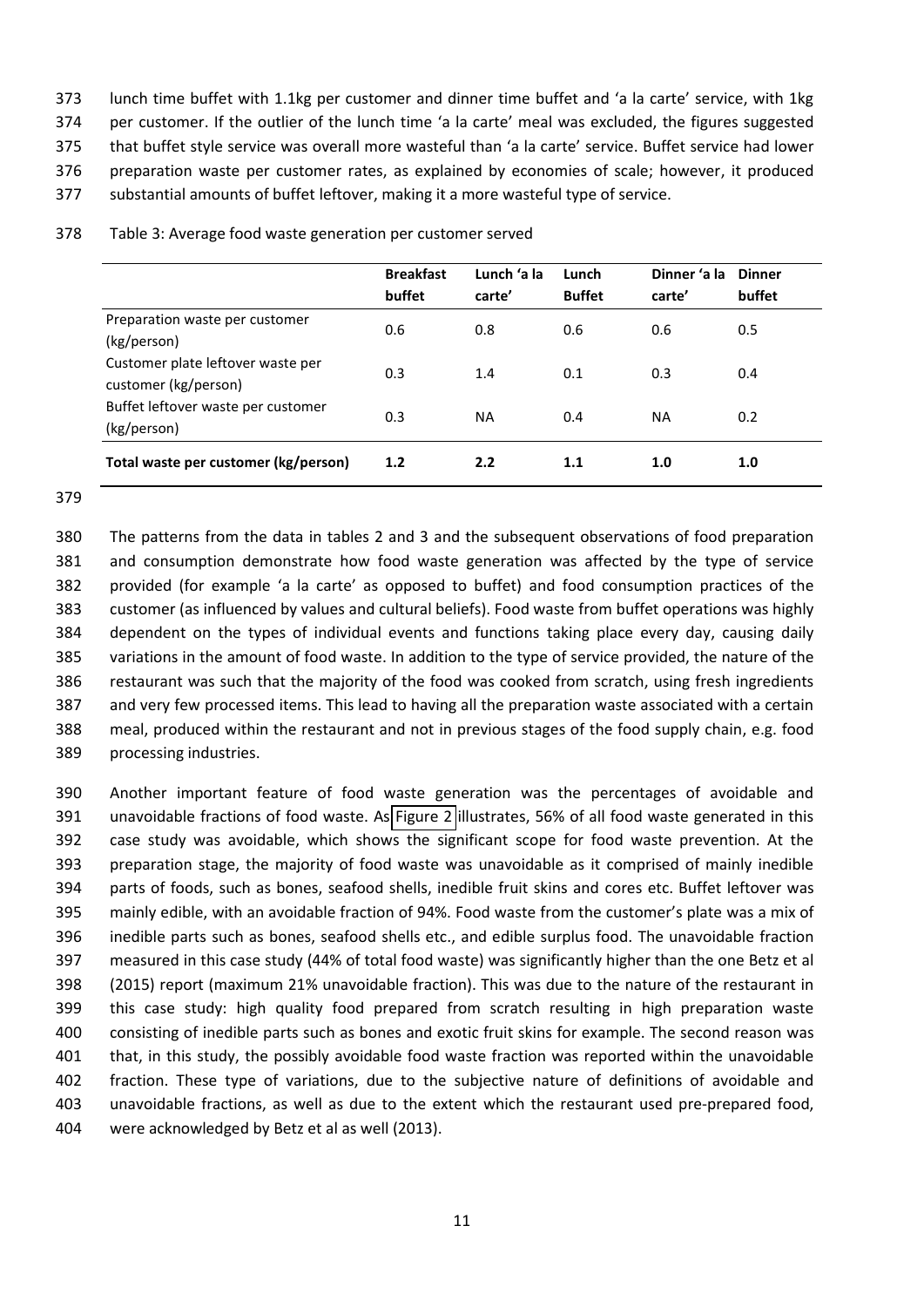- 373 lunch time buffet with 1.1kg per customer and dinner time buffet and 'a la carte' service, with 1kg
- 374 per customer. If the outlier of the lunch time 'a la carte' meal was excluded, the figures suggested
- 375 that buffet style service was overall more wasteful than 'a la carte' service. Buffet service had lower
- 376 preparation waste per customer rates, as explained by economies of scale; however, it produced
- 377 substantial amounts of buffet leftover, making it a more wasteful type of service.

|                                                           | <b>Breakfast</b><br>buffet | Lunch 'a la<br>carte' | Lunch<br><b>Buffet</b> | Dinner 'a la<br>carte' | <b>Dinner</b><br>buffet |
|-----------------------------------------------------------|----------------------------|-----------------------|------------------------|------------------------|-------------------------|
| Preparation waste per customer<br>(kg/person)             | 0.6                        | 0.8                   | 0.6                    | 0.6                    | 0.5                     |
| Customer plate leftover waste per<br>customer (kg/person) | 0.3                        | 1.4                   | 0.1                    | 0.3                    | 0.4                     |
| Buffet leftover waste per customer<br>(kg/person)         | 0.3                        | <b>NA</b>             | 0.4                    | <b>NA</b>              | 0.2                     |
| Total waste per customer (kg/person)                      | 1.2                        | 2.2                   | 1.1                    | 1.0                    | 1.0                     |

378 Table 3: Average food waste generation per customer served

### <span id="page-10-0"></span>379

 The patterns from the data in tables 2 and 3 and the subsequent observations of food preparation and consumption demonstrate how food waste generation was affected by the type of service 382 provided (for example 'a la carte' as opposed to buffet) and food consumption practices of the customer (as influenced by values and cultural beliefs). Food waste from buffet operations was highly dependent on the types of individual events and functions taking place every day, causing daily variations in the amount of food waste. In addition to the type of service provided, the nature of the restaurant was such that the majority of the food was cooked from scratch, using fresh ingredients and very few processed items. This lead to having all the preparation waste associated with a certain meal, produced within the restaurant and not in previous stages of the food supply chain, e.g. food processing industries.

 Another important feature of food waste generation was the percentages of avoidable and unavoidable fractions of food waste. As [Figure 2](#page-10-0) illustrates, 56% of all food waste generated in this case study was avoidable, which shows the significant scope for food waste prevention. At the preparation stage, the majority of food waste was unavoidable as it comprised of mainly inedible parts of foods, such as bones, seafood shells, inedible fruit skins and cores etc. Buffet leftover was 395 mainly edible, with an avoidable fraction of 94%. Food waste from the customer's plate was a mix of inedible parts such as bones, seafood shells etc., and edible surplus food. The unavoidable fraction measured in this case study (44% of total food waste) was significantly higher than the one Betz et al (2015) report (maximum 21% unavoidable fraction). This was due to the nature of the restaurant in this case study: high quality food prepared from scratch resulting in high preparation waste consisting of inedible parts such as bones and exotic fruit skins for example. The second reason was that, in this study, the possibly avoidable food waste fraction was reported within the unavoidable fraction. These type of variations, due to the subjective nature of definitions of avoidable and unavoidable fractions, as well as due to the extent which the restaurant used pre-prepared food, were acknowledged by Betz et al as well (2013).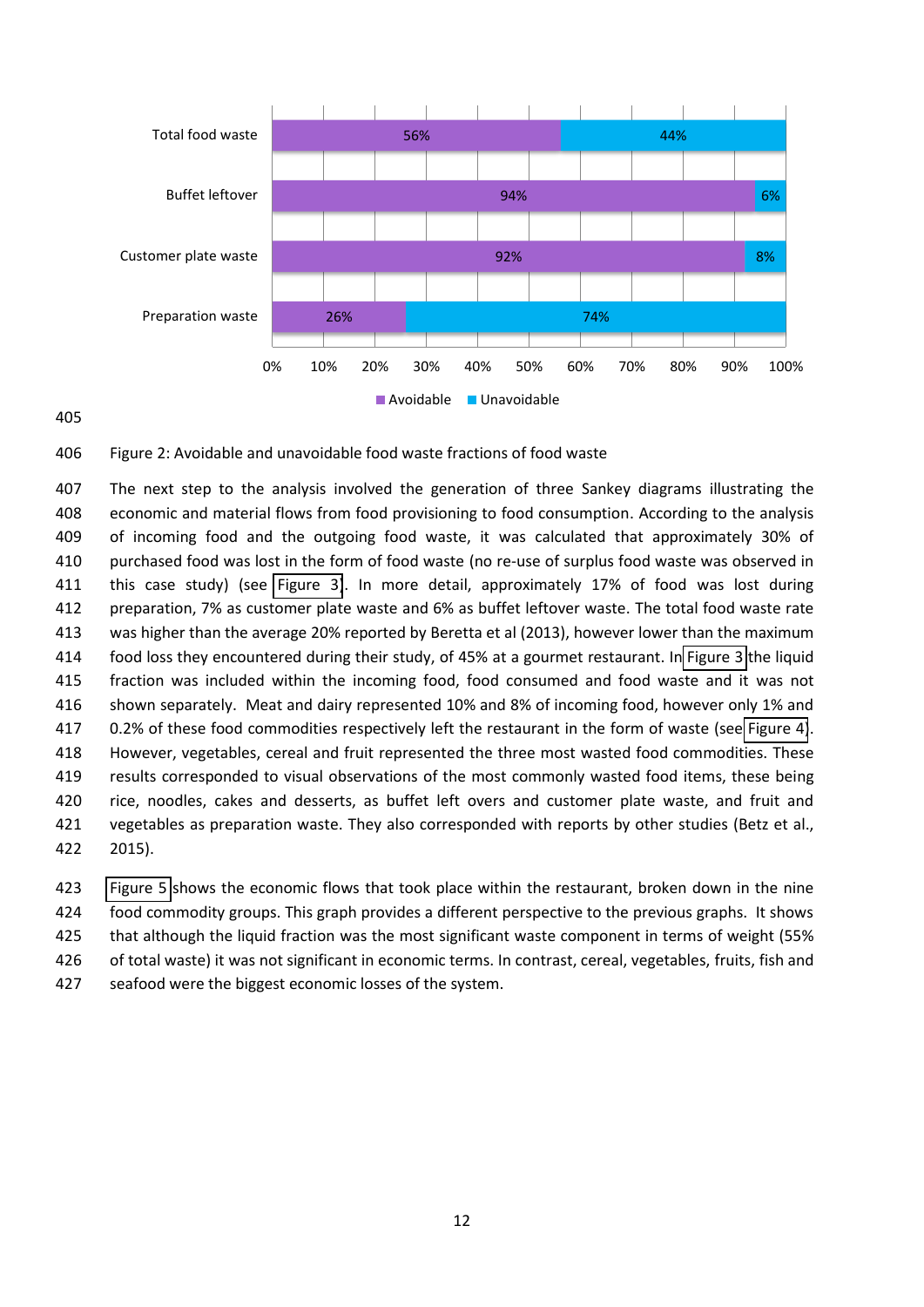

#### Figure 2: Avoidable and unavoidable food waste fractions of food waste

 The next step to the analysis involved the generation of three Sankey diagrams illustrating the economic and material flows from food provisioning to food consumption. According to the analysis of incoming food and the outgoing food waste, it was calculated that approximately 30% of purchased food was lost in the form of food waste (no re-use of surplus food waste was observed in this case study) (see [Figure 3\)](#page-11-0). In more detail, approximately 17% of food was lost during preparation, 7% as customer plate waste and 6% as buffet leftover waste. The total food waste rate was higher than the average 20% reported by Beretta et al (2013), however lower than the maximum food loss they encountered during their study, of 45% at a gourmet restaurant. In [Figure 3](#page-11-0) the liquid fraction was included within the incoming food, food consumed and food waste and it was not shown separately. Meat and dairy represented 10% and 8% of incoming food, however only 1% and 0.2% of these food commodities respectively left the restaurant in the form of waste (see [Figure 4\)](#page-12-0). However, vegetables, cereal and fruit represented the three most wasted food commodities. These 419 results corresponded to visual observations of the most commonly wasted food items, these being rice, noodles, cakes and desserts, as buffet left overs and customer plate waste, and fruit and vegetables as preparation waste. They also corresponded with reports by other studies (Betz et al., 2015).

<span id="page-11-0"></span> [Figure 5](#page-13-0) shows the economic flows that took place within the restaurant, broken down in the nine food commodity groups. This graph provides a different perspective to the previous graphs. It shows that although the liquid fraction was the most significant waste component in terms of weight (55% of total waste) it was not significant in economic terms. In contrast, cereal, vegetables, fruits, fish and seafood were the biggest economic losses of the system.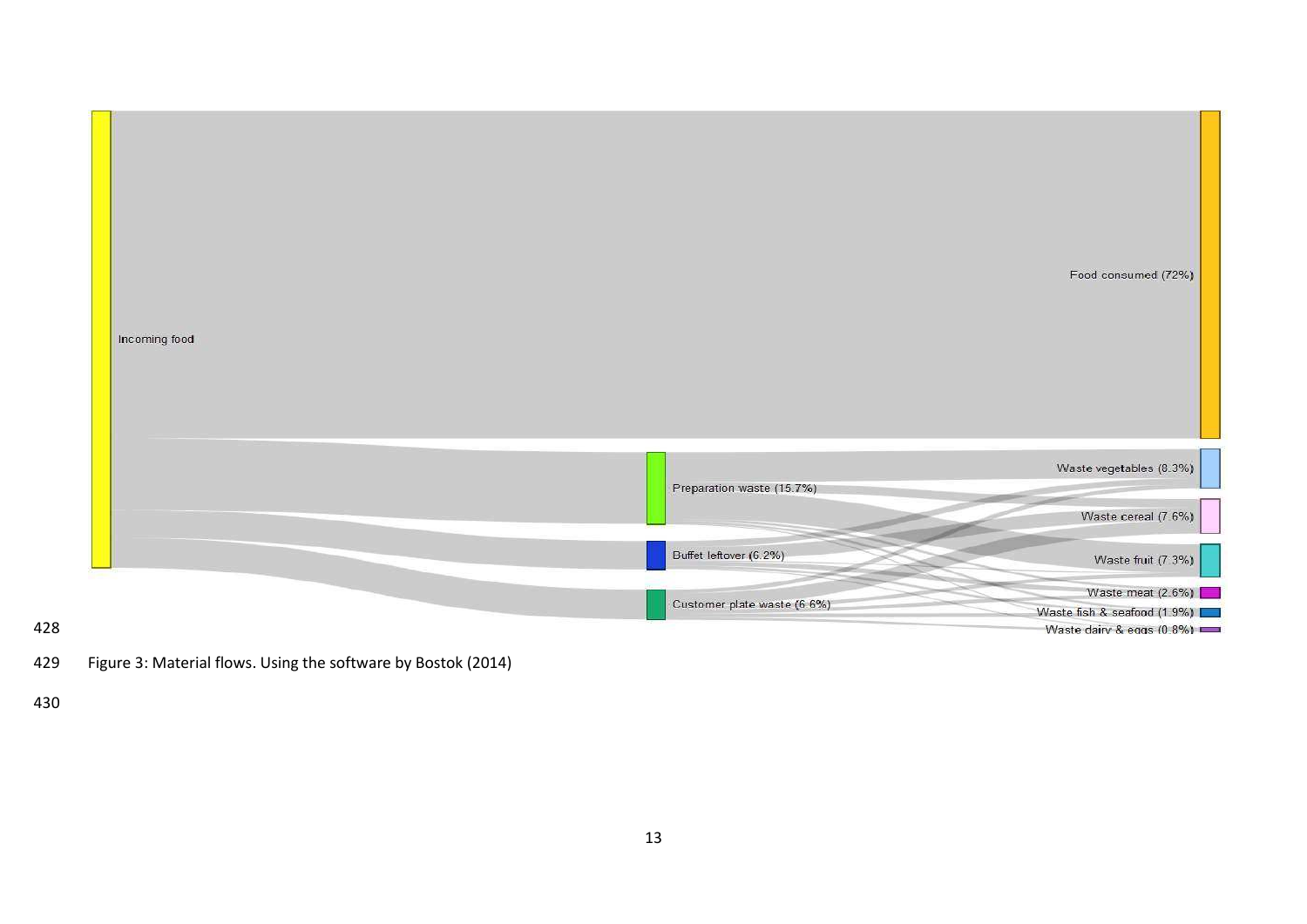| Incoming food |                             | Food consumed (72%)                                                           |
|---------------|-----------------------------|-------------------------------------------------------------------------------|
|               | Preparation waste (15.7%)   | Waste vegetables (8.3%)                                                       |
|               |                             | Waste cereal (7.6%)                                                           |
|               | Buffet leftover (6.2%)      | Waste fruit (7.3%)                                                            |
|               | Customer plate waste (6.6%) | Waste meat (2.6%)<br>Waste fish & seafood (1.9%)<br>Waste dairy & eqgs (0.8%) |

Figure 3: Material flows. Using the software by Bostok (2014)

<span id="page-12-0"></span>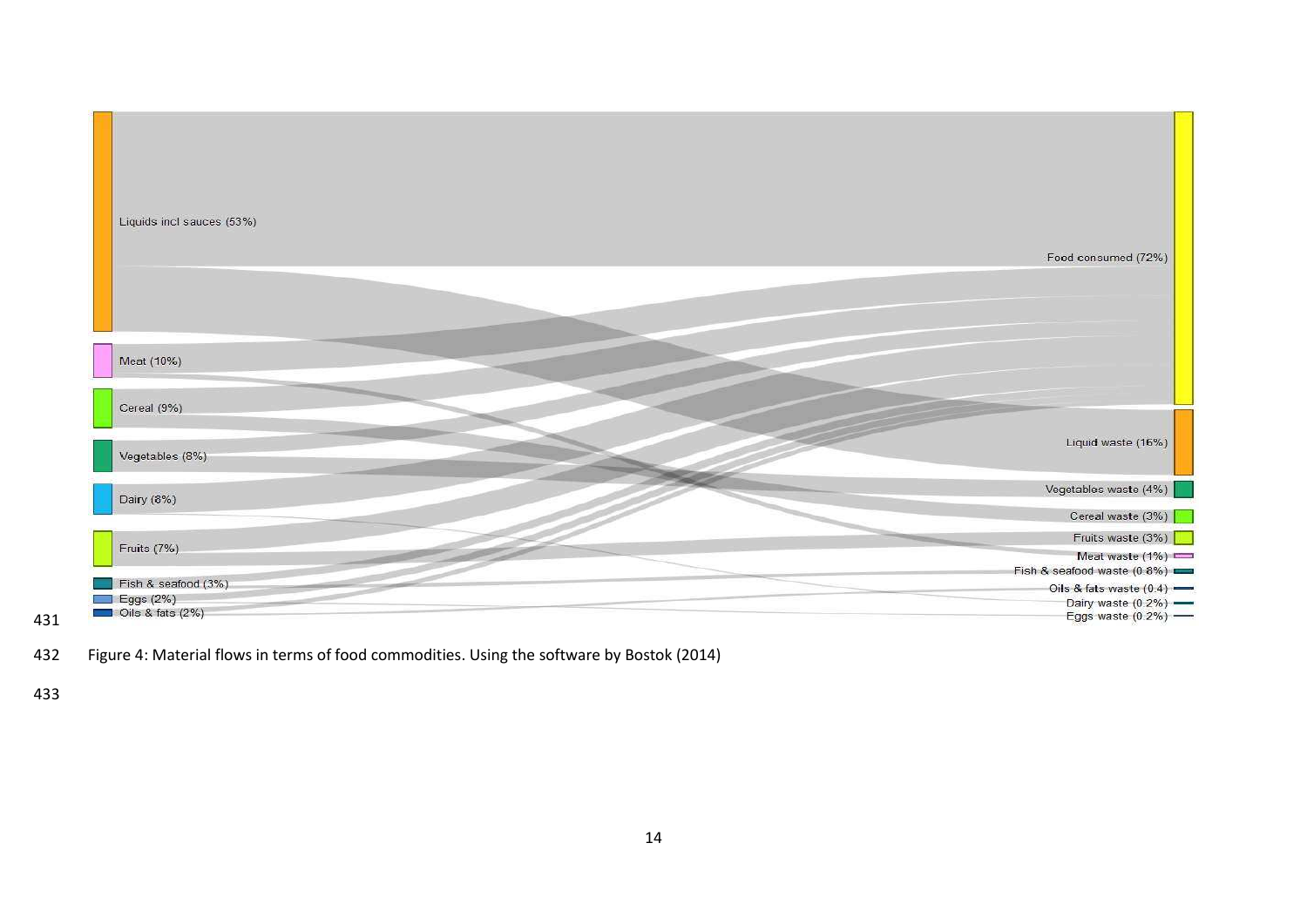| Liquids incl sauces (53%) | Food consumed (72%)                              |
|---------------------------|--------------------------------------------------|
| Meat (10%)                |                                                  |
| Cereal (9%)               |                                                  |
| Vegetables (8%)           | Liquid waste (16%)                               |
| Dairy (8%)                | Vegetables waste (4%)                            |
|                           | Cereal waste (3%)                                |
| Fruits (7%)               | Fruits waste (3%)                                |
|                           | Meat waste $(1%)$<br>Fish & seafood waste (0.8%) |
| Fish & seafood (3%)       | Oils & fats waste $(0.4)$ $\longrightarrow$      |
| $\Box$ Eggs (2%)          | Dairy waste (0.2%) -                             |
| Oils & fats $(2%)$        | Eggs waste (0.2%) -                              |

Figure 4: Material flows in terms of food commodities. Using the software by Bostok (2014)

<span id="page-13-0"></span>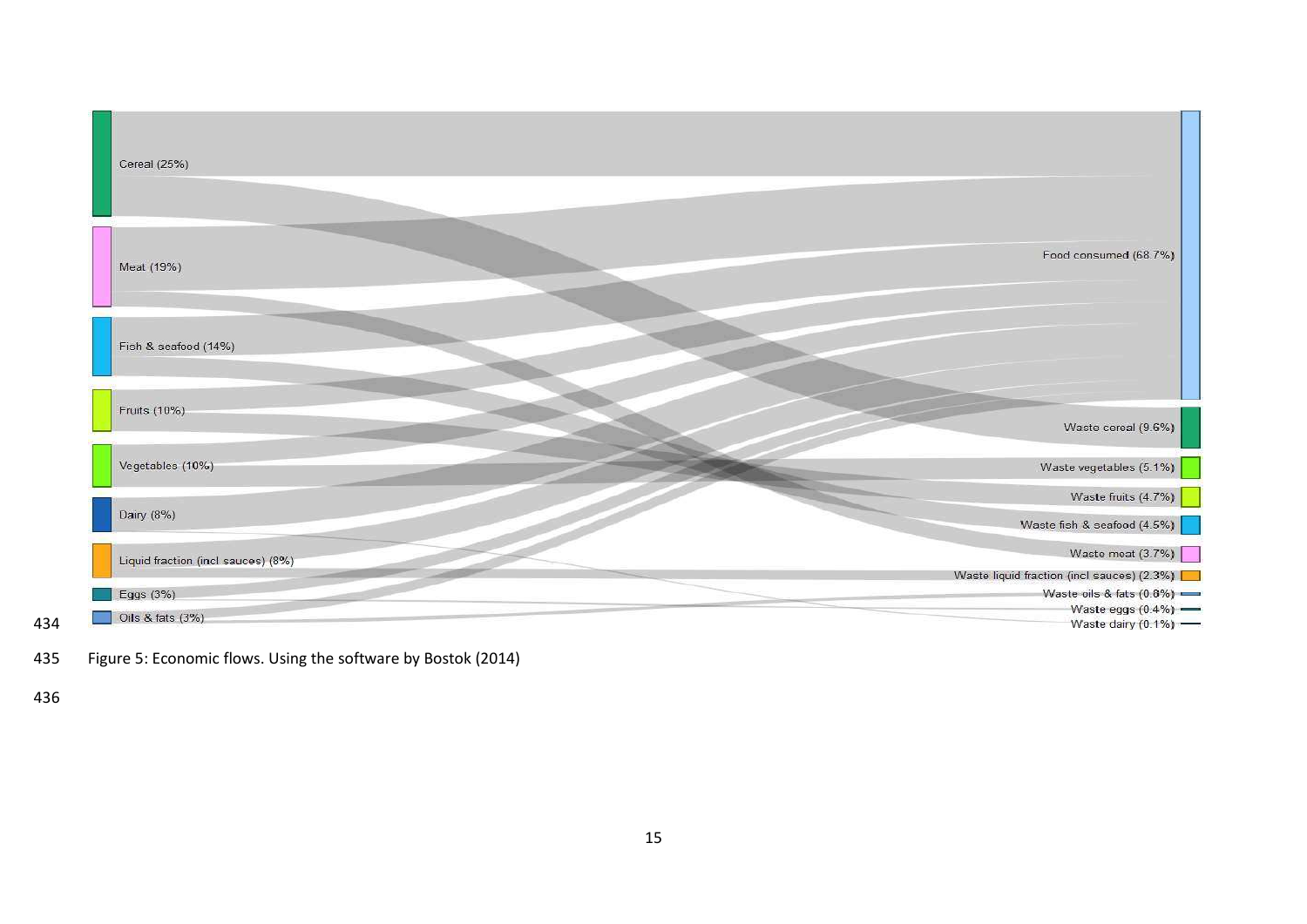| Cereal (25%)                       |                                                  |
|------------------------------------|--------------------------------------------------|
| Meat (19%)                         | Food consumed (68.7%)                            |
| Fish & seafood (14%)               |                                                  |
| Fruits (10%)                       | Waste cereal (9.6%)                              |
| Vegetables (10%)                   | Waste vegetables (5.1%)                          |
|                                    | Waste fruits (4.7%)                              |
| Dairy (8%)                         | Waste fish & seafood (4.5%)                      |
| Liquid fraction (incl sauces) (8%) | Waste meat $(3.7%)$                              |
|                                    | Waste liquid fraction (incl. sauces) (2.3%)      |
| Eggs (3%)                          | Waste oils & fats (0.8%)<br>Waste eggs $(0.4\%)$ |
| Oils & fats (3%)                   | Waste dairy $(0.1%)$ -                           |

<span id="page-14-0"></span>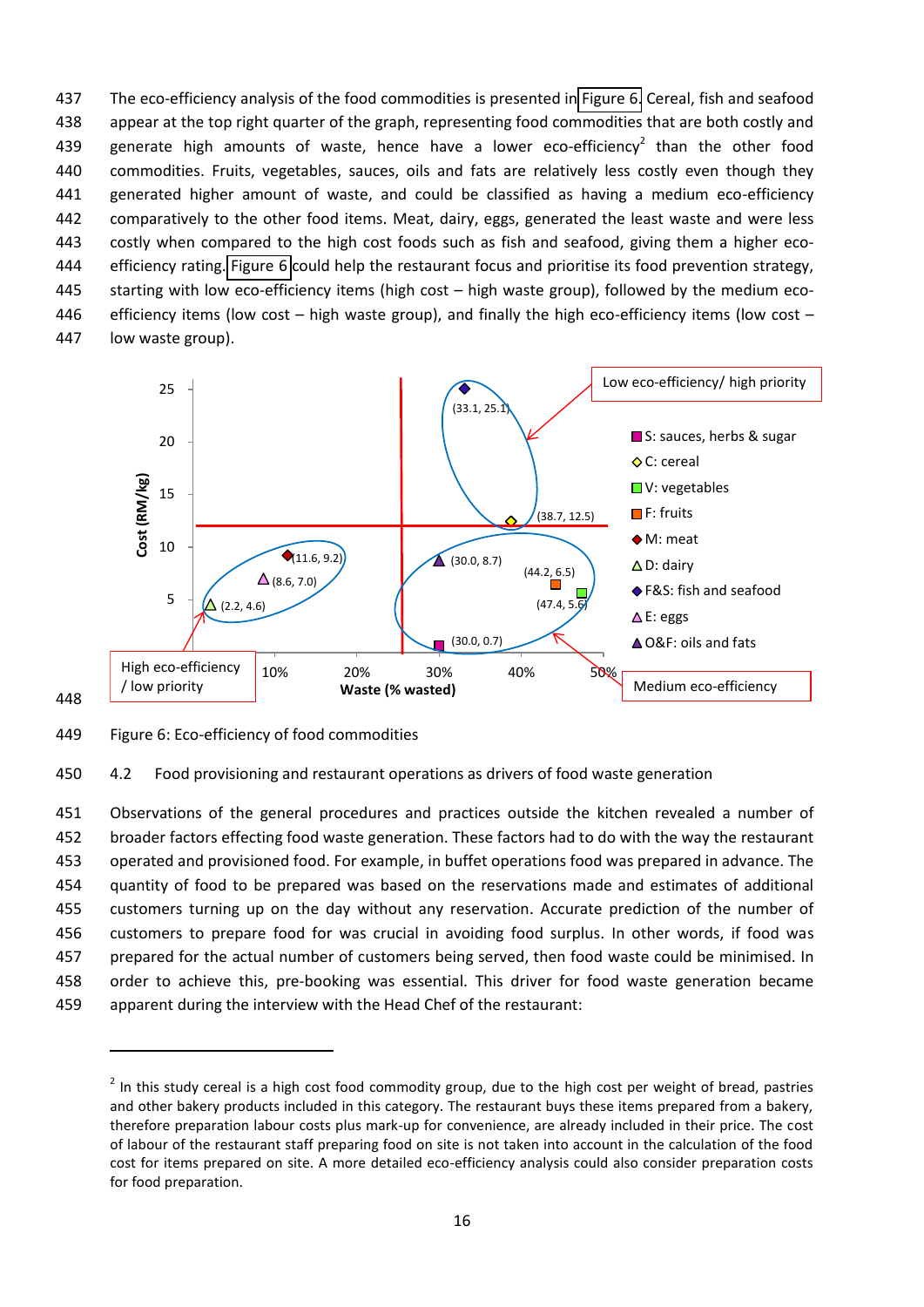The eco-efficiency analysis of the food commodities is presented in [Figure 6.](#page-14-0) Cereal, fish and seafood appear at the top right quarter of the graph, representing food commodities that are both costly and 439 generate high amounts of waste, hence have a lower eco-efficiency<sup>2</sup> than the other food commodities. Fruits, vegetables, sauces, oils and fats are relatively less costly even though they generated higher amount of waste, and could be classified as having a medium eco-efficiency 442 comparatively to the other food items. Meat, dairy, eggs, generated the least waste and were less costly when compared to the high cost foods such as fish and seafood, giving them a higher eco- efficiency rating. [Figure 6](#page-14-0) could help the restaurant focus and prioritise its food prevention strategy, 445 starting with low eco-efficiency items (high cost  $-$  high waste group), followed by the medium eco-446 efficiency items (low cost - high waste group), and finally the high eco-efficiency items (low cost -low waste group).



448

l

449 Figure 6: Eco-efficiency of food commodities

450 4.2 Food provisioning and restaurant operations as drivers of food waste generation

 Observations of the general procedures and practices outside the kitchen revealed a number of broader factors effecting food waste generation. These factors had to do with the way the restaurant operated and provisioned food. For example, in buffet operations food was prepared in advance. The quantity of food to be prepared was based on the reservations made and estimates of additional customers turning up on the day without any reservation. Accurate prediction of the number of customers to prepare food for was crucial in avoiding food surplus. In other words, if food was prepared for the actual number of customers being served, then food waste could be minimised. In order to achieve this, pre-booking was essential. This driver for food waste generation became apparent during the interview with the Head Chef of the restaurant:

 $2$  In this study cereal is a high cost food commodity group, due to the high cost per weight of bread, pastries and other bakery products included in this category. The restaurant buys these items prepared from a bakery, therefore preparation labour costs plus mark-up for convenience, are already included in their price. The cost of labour of the restaurant staff preparing food on site is not taken into account in the calculation of the food cost for items prepared on site. A more detailed eco-efficiency analysis could also consider preparation costs for food preparation.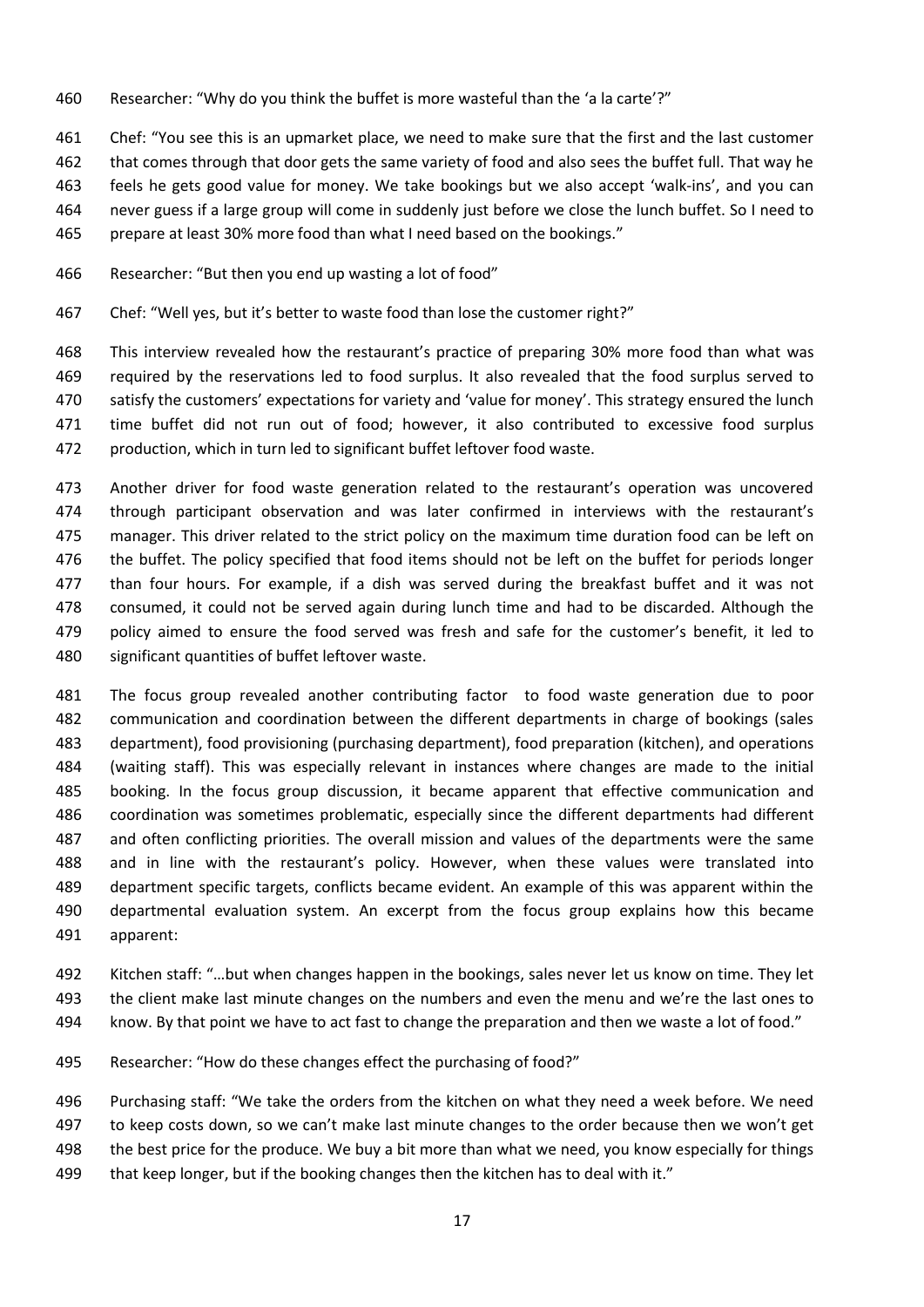- 460 Researcher: "Why do you think the buffet is more wasteful than the 'a la carte'?"
- 461 Chef: "You see this is an upmarket place, we need to make sure that the first and the last customer
- 462 that comes through that door gets the same variety of food and also sees the buffet full. That way he
- 463 feels he gets good value for money. We take bookings but we also accept 'walk-ins', and you can
- 464 never guess if a large group will come in suddenly just before we close the lunch buffet. So I need to
- 465 prepare at least 30% more food than what I need based on the bookings."
- 466 Researcher: "But then you end up wasting a lot of food"
- 467 Chef: "Well yes, but it's better to waste food than lose the customer right?"
- 468 This interview revealed how the restaurant's practice of preparing 30% more food than what was 469 required by the reservations led to food surplus. It also revealed that the food surplus served to 470 satisfy the customers' expectations for variety and 'value for money'. This strategy ensured the lunch 471 time buffet did not run out of food; however, it also contributed to excessive food surplus 472 production, which in turn led to significant buffet leftover food waste.
- 473 Another driver for food waste generation related to the restaurant's operation was uncovered 474 through participant observation and was later confirmed in interviews with the restaurant's 475 manager. This driver related to the strict policy on the maximum time duration food can be left on 476 the buffet. The policy specified that food items should not be left on the buffet for periods longer 477 than four hours. For example, if a dish was served during the breakfast buffet and it was not 478 consumed, it could not be served again during lunch time and had to be discarded. Although the 479 policy aimed to ensure the food served was fresh and safe for the customer's benefit, it led to 480 significant quantities of buffet leftover waste.
- 481 The focus group revealed another contributing factor to food waste generation due to poor 482 communication and coordination between the different departments in charge of bookings (sales 483 department), food provisioning (purchasing department), food preparation (kitchen), and operations 484 (waiting staff). This was especially relevant in instances where changes are made to the initial 485 booking. In the focus group discussion, it became apparent that effective communication and 486 coordination was sometimes problematic, especially since the different departments had different 487 and often conflicting priorities. The overall mission and values of the departments were the same 488 and in line with the restaurant's policy. However, when these values were translated into 489 department specific targets, conflicts became evident. An example of this was apparent within the 490 departmental evaluation system. An excerpt from the focus group explains how this became 491 apparent:
- 492 Kitchen staff: "...but when changes happen in the bookings, sales never let us know on time. They let 493 the client make last minute changes on the numbers and even the menu and we're the last ones to 494 know. By that point we have to act fast to change the preparation and then we waste a lot of food."
- 495 Researcher: "How do these changes effect the purchasing of food?"
- 496 Purchasing staff: "We take the orders from the kitchen on what they need a week before. We need 497 to keep costs down, so we can't make last minute changes to the order because then we won't get
- 498 the best price for the produce. We buy a bit more than what we need, you know especially for things
- 499 that keep longer, but if the booking changes then the kitchen has to deal with it."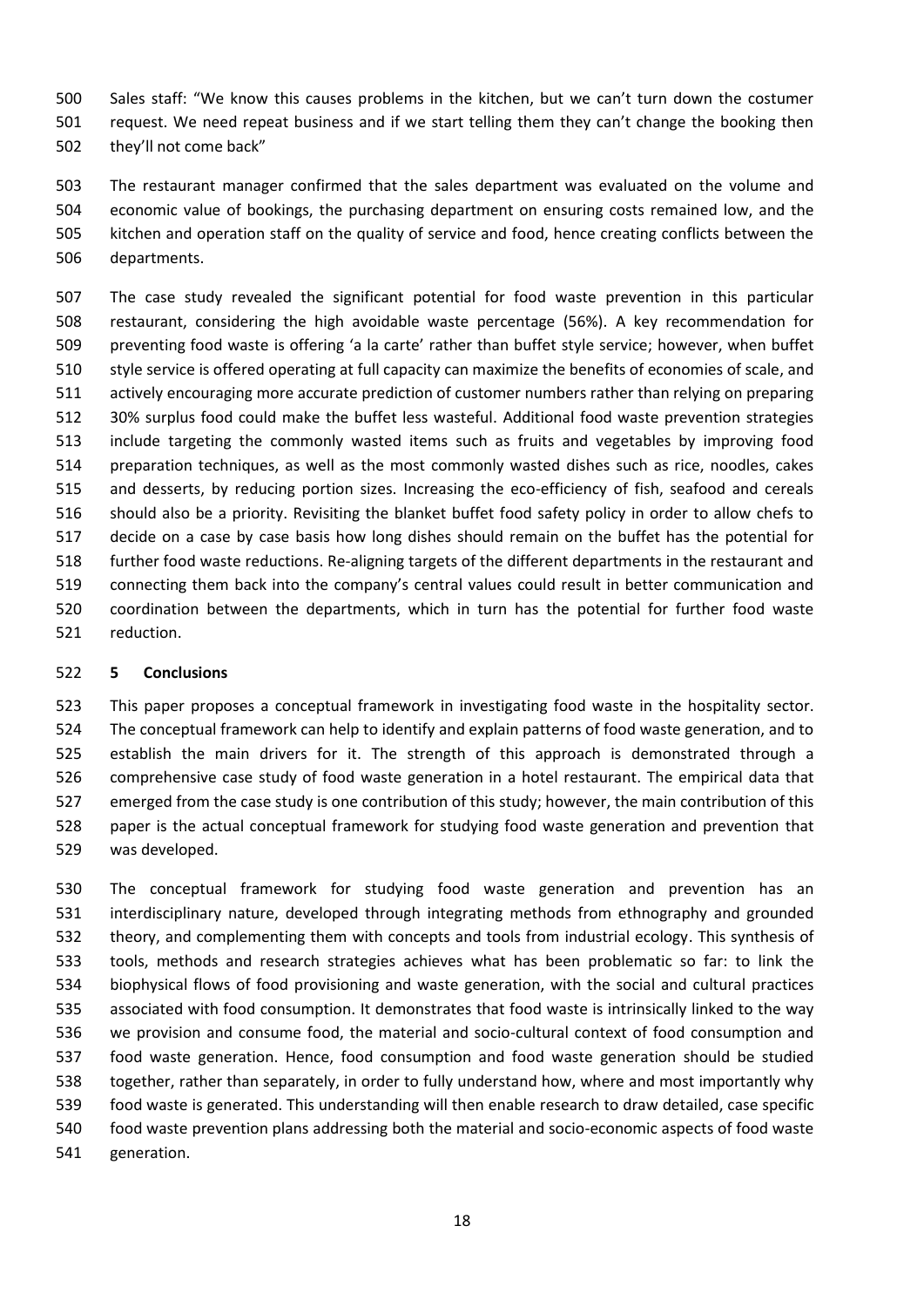500 Sales staff: "We know this causes problems in the kitchen, but we can't turn down the costumer 501 request. We need repeat business and if we start telling them they can't change the booking then

502 they'll not come back"

 The restaurant manager confirmed that the sales department was evaluated on the volume and economic value of bookings, the purchasing department on ensuring costs remained low, and the kitchen and operation staff on the quality of service and food, hence creating conflicts between the departments.

 The case study revealed the significant potential for food waste prevention in this particular restaurant, considering the high avoidable waste percentage (56%). A key recommendation for 509 preventing food waste is offering 'a la carte' rather than buffet style service; however, when buffet style service is offered operating at full capacity can maximize the benefits of economies of scale, and actively encouraging more accurate prediction of customer numbers rather than relying on preparing 30% surplus food could make the buffet less wasteful. Additional food waste prevention strategies include targeting the commonly wasted items such as fruits and vegetables by improving food preparation techniques, as well as the most commonly wasted dishes such as rice, noodles, cakes and desserts, by reducing portion sizes. Increasing the eco-efficiency of fish, seafood and cereals should also be a priority. Revisiting the blanket buffet food safety policy in order to allow chefs to decide on a case by case basis how long dishes should remain on the buffet has the potential for further food waste reductions. Re-aligning targets of the different departments in the restaurant and 519 connecting them back into the company's central values could result in better communication and coordination between the departments, which in turn has the potential for further food waste reduction.

# **5 Conclusions**

 This paper proposes a conceptual framework in investigating food waste in the hospitality sector. The conceptual framework can help to identify and explain patterns of food waste generation, and to establish the main drivers for it. The strength of this approach is demonstrated through a comprehensive case study of food waste generation in a hotel restaurant. The empirical data that emerged from the case study is one contribution of this study; however, the main contribution of this paper is the actual conceptual framework for studying food waste generation and prevention that was developed.

 The conceptual framework for studying food waste generation and prevention has an interdisciplinary nature, developed through integrating methods from ethnography and grounded theory, and complementing them with concepts and tools from industrial ecology. This synthesis of tools, methods and research strategies achieves what has been problematic so far: to link the biophysical flows of food provisioning and waste generation, with the social and cultural practices associated with food consumption. It demonstrates that food waste is intrinsically linked to the way we provision and consume food, the material and socio-cultural context of food consumption and food waste generation. Hence, food consumption and food waste generation should be studied together, rather than separately, in order to fully understand how, where and most importantly why food waste is generated. This understanding will then enable research to draw detailed, case specific food waste prevention plans addressing both the material and socio-economic aspects of food waste generation.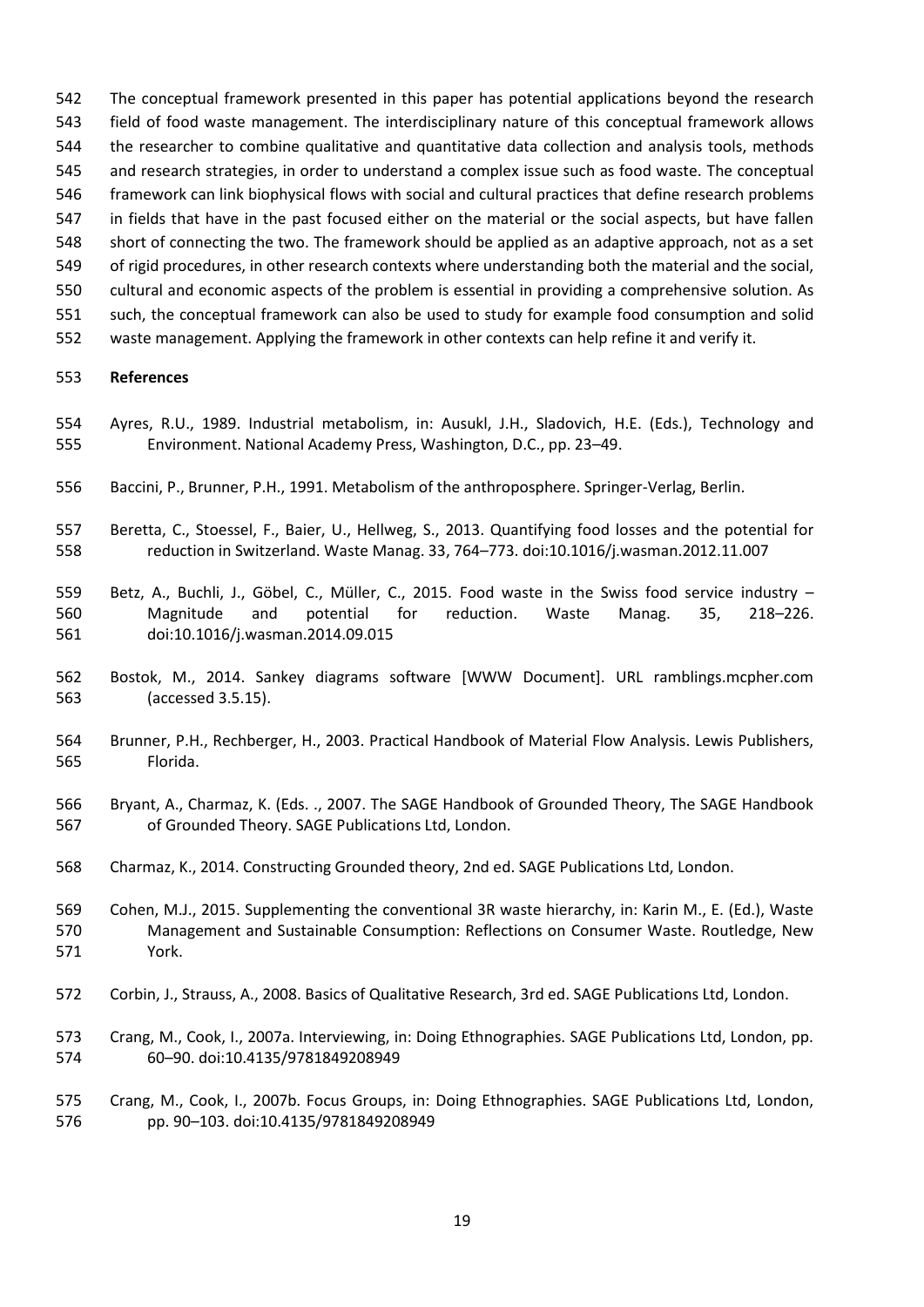- The conceptual framework presented in this paper has potential applications beyond the research
- field of food waste management. The interdisciplinary nature of this conceptual framework allows
- the researcher to combine qualitative and quantitative data collection and analysis tools, methods
- and research strategies, in order to understand a complex issue such as food waste. The conceptual
- framework can link biophysical flows with social and cultural practices that define research problems
- in fields that have in the past focused either on the material or the social aspects, but have fallen
- short of connecting the two. The framework should be applied as an adaptive approach, not as a set
- of rigid procedures, in other research contexts where understanding both the material and the social,
- cultural and economic aspects of the problem is essential in providing a comprehensive solution. As such, the conceptual framework can also be used to study for example food consumption and solid
- waste management. Applying the framework in other contexts can help refine it and verify it.

## **References**

- Ayres, R.U., 1989. Industrial metabolism, in: Ausukl, J.H., Sladovich, H.E. (Eds.), Technology and 555 Environment. National Academy Press, Washington, D.C., pp. 23-49.
- Baccini, P., Brunner, P.H., 1991. Metabolism of the anthroposphere. Springer-Verlag, Berlin.
- Beretta, C., Stoessel, F., Baier, U., Hellweg, S., 2013. Quantifying food losses and the potential for 558 reduction in Switzerland. Waste Manag. 33, 764-773. doi:10.1016/j.wasman.2012.11.007
- 559 Betz, A., Buchli, J., Göbel, C., Müller, C., 2015. Food waste in the Swiss food service industry -560 Magnitude and potential for reduction. Waste Manag. 35, 218-226. doi:10.1016/j.wasman.2014.09.015
- Bostok, M., 2014. Sankey diagrams software [WWW Document]. URL ramblings.mcpher.com (accessed 3.5.15).
- Brunner, P.H., Rechberger, H., 2003. Practical Handbook of Material Flow Analysis. Lewis Publishers, Florida.
- Bryant, A., Charmaz, K. (Eds. ., 2007. The SAGE Handbook of Grounded Theory, The SAGE Handbook of Grounded Theory. SAGE Publications Ltd, London.
- Charmaz, K., 2014. Constructing Grounded theory, 2nd ed. SAGE Publications Ltd, London.
- Cohen, M.J., 2015. Supplementing the conventional 3R waste hierarchy, in: Karin M., E. (Ed.), Waste Management and Sustainable Consumption: Reflections on Consumer Waste. Routledge, New York.
- Corbin, J., Strauss, A., 2008. Basics of Qualitative Research, 3rd ed. SAGE Publications Ltd, London.
- Crang, M., Cook, I., 2007a. Interviewing, in: Doing Ethnographies. SAGE Publications Ltd, London, pp. 574 60-90. doi:10.4135/9781849208949
- Crang, M., Cook, I., 2007b. Focus Groups, in: Doing Ethnographies. SAGE Publications Ltd, London, 576 pp. 90-103. doi:10.4135/9781849208949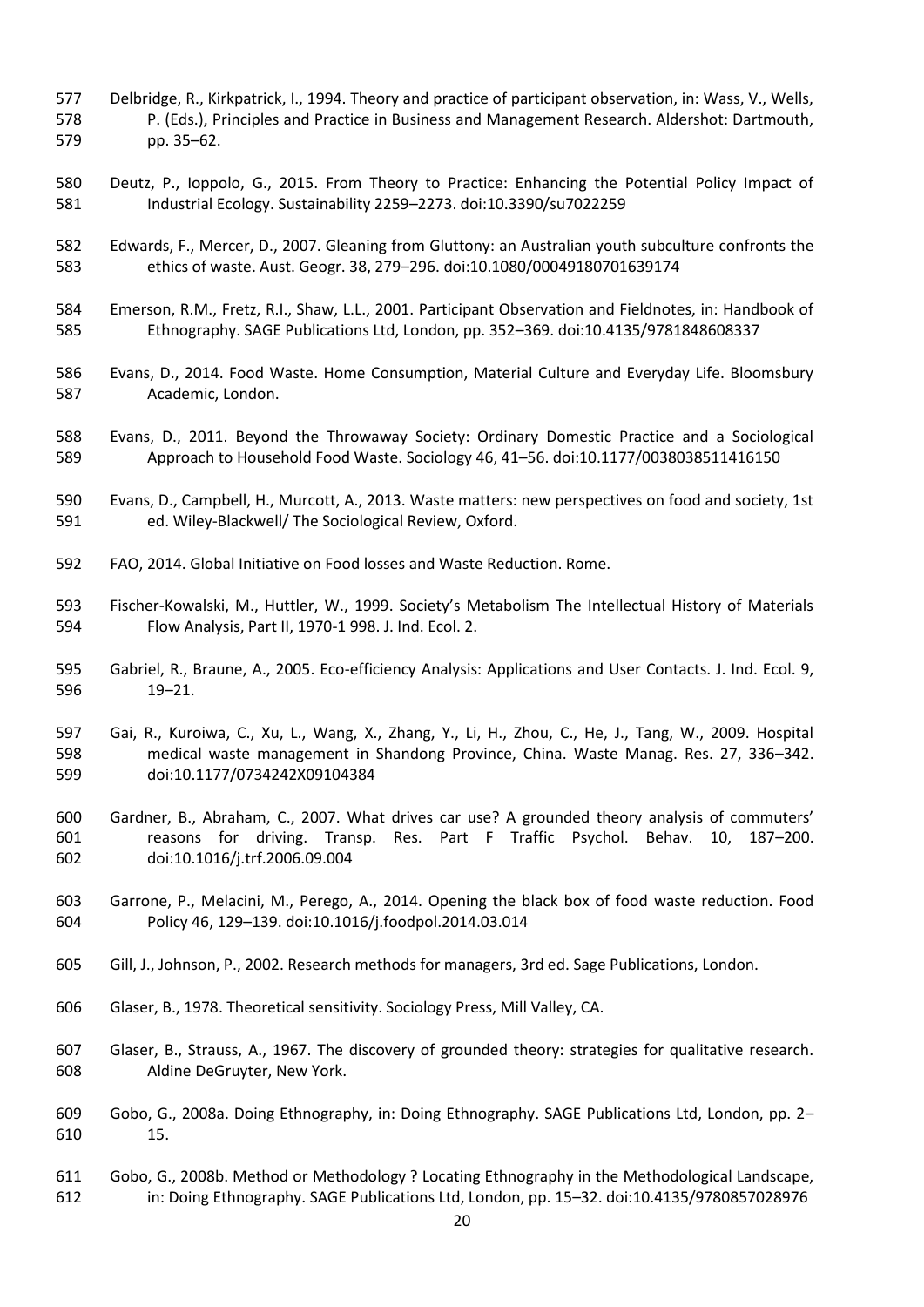- Delbridge, R., Kirkpatrick, I., 1994. Theory and practice of participant observation, in: Wass, V., Wells, P. (Eds.), Principles and Practice in Business and Management Research. Aldershot: Dartmouth, 579 pp. 35–62.
- Deutz, P., Ioppolo, G., 2015. From Theory to Practice: Enhancing the Potential Policy Impact of 581 Industrial Ecology. Sustainability 2259-2273. doi:10.3390/su7022259
- Edwards, F., Mercer, D., 2007. Gleaning from Gluttony: an Australian youth subculture confronts the 583 ethics of waste. Aust. Geogr. 38, 279-296. doi:10.1080/00049180701639174
- Emerson, R.M., Fretz, R.I., Shaw, L.L., 2001. Participant Observation and Fieldnotes, in: Handbook of 585 Ethnography. SAGE Publications Ltd, London, pp. 352-369. doi:10.4135/9781848608337
- Evans, D., 2014. Food Waste. Home Consumption, Material Culture and Everyday Life. Bloomsbury Academic, London.
- Evans, D., 2011. Beyond the Throwaway Society: Ordinary Domestic Practice and a Sociological 589 Approach to Household Food Waste. Sociology 46, 41–56. doi:10.1177/0038038511416150

 Evans, D., Campbell, H., Murcott, A., 2013. Waste matters: new perspectives on food and society, 1st ed. Wiley-Blackwell/ The Sociological Review, Oxford.

- FAO, 2014. Global Initiative on Food losses and Waste Reduction. Rome.
- 593 Fischer-Kowalski, M., Huttler, W., 1999. Society's Metabolism The Intellectual History of Materials Flow Analysis, Part II, 1970-1 998. J. Ind. Ecol. 2.
- Gabriel, R., Braune, A., 2005. Eco-efficiency Analysis: Applications and User Contacts. J. Ind. Ecol. 9, 596 19-21.
- Gai, R., Kuroiwa, C., Xu, L., Wang, X., Zhang, Y., Li, H., Zhou, C., He, J., Tang, W., 2009. Hospital 598 medical waste management in Shandong Province, China. Waste Manag. Res. 27, 336–342. doi:10.1177/0734242X09104384
- 600 Gardner, B., Abraham, C., 2007. What drives car use? A grounded theory analysis of commuters' 601 reasons for driving. Transp. Res. Part F Traffic Psychol. Behav. 10, 187-200. doi:10.1016/j.trf.2006.09.004
- Garrone, P., Melacini, M., Perego, A., 2014. Opening the black box of food waste reduction. Food 604 Policy 46, 129-139. doi:10.1016/j.foodpol.2014.03.014
- Gill, J., Johnson, P., 2002. Research methods for managers, 3rd ed. Sage Publications, London.
- Glaser, B., 1978. Theoretical sensitivity. Sociology Press, Mill Valley, CA.
- Glaser, B., Strauss, A., 1967. The discovery of grounded theory: strategies for qualitative research. Aldine DeGruyter, New York.
- 609 Gobo, G., 2008a. Doing Ethnography, in: Doing Ethnography. SAGE Publications Ltd, London, pp. 2– 15.
- 611 Gobo, G., 2008b. Method or Methodology ? Locating Ethnography in the Methodological Landscape, 612 in: Doing Ethnography. SAGE Publications Ltd, London, pp. 15-32. doi:10.4135/9780857028976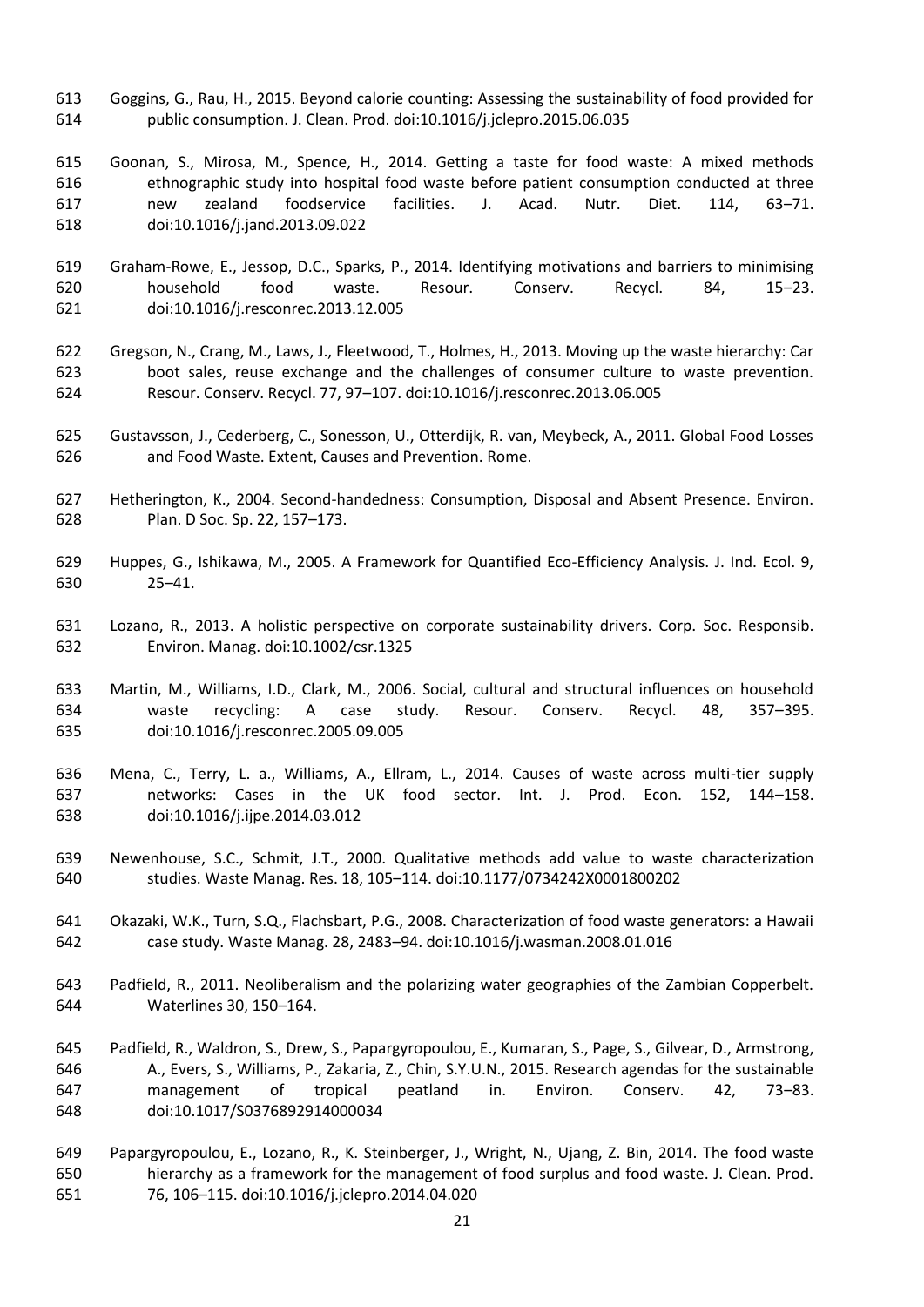- Goggins, G., Rau, H., 2015. Beyond calorie counting: Assessing the sustainability of food provided for public consumption. J. Clean. Prod. doi:10.1016/j.jclepro.2015.06.035
- Goonan, S., Mirosa, M., Spence, H., 2014. Getting a taste for food waste: A mixed methods ethnographic study into hospital food waste before patient consumption conducted at three 617 new zealand foodservice facilities. J. Acad. Nutr. Diet. 114, 63-71. doi:10.1016/j.jand.2013.09.022
- Graham-Rowe, E., Jessop, D.C., Sparks, P., 2014. Identifying motivations and barriers to minimising 620 household food waste. Resour. Conserv. Recycl. 84, 15-23. doi:10.1016/j.resconrec.2013.12.005
- Gregson, N., Crang, M., Laws, J., Fleetwood, T., Holmes, H., 2013. Moving up the waste hierarchy: Car boot sales, reuse exchange and the challenges of consumer culture to waste prevention. 624 Resour. Conserv. Recycl. 77, 97-107. doi:10.1016/j.resconrec.2013.06.005
- Gustavsson, J., Cederberg, C., Sonesson, U., Otterdijk, R. van, Meybeck, A., 2011. Global Food Losses and Food Waste. Extent, Causes and Prevention. Rome.
- Hetherington, K., 2004. Second-handedness: Consumption, Disposal and Absent Presence. Environ. 628 Plan. D Soc. Sp. 22, 157-173.
- Huppes, G., Ishikawa, M., 2005. A Framework for Quantified Eco-Efficiency Analysis. J. Ind. Ecol. 9, 630 25-41.
- Lozano, R., 2013. A holistic perspective on corporate sustainability drivers. Corp. Soc. Responsib. Environ. Manag. doi:10.1002/csr.1325
- Martin, M., Williams, I.D., Clark, M., 2006. Social, cultural and structural influences on household 634 waste recycling: A case study. Resour. Conserv. Recycl. 48, 357-395. doi:10.1016/j.resconrec.2005.09.005
- Mena, C., Terry, L. a., Williams, A., Ellram, L., 2014. Causes of waste across multi-tier supply 637 networks: Cases in the UK food sector. Int. J. Prod. Econ. 152, 144-158. doi:10.1016/j.ijpe.2014.03.012
- Newenhouse, S.C., Schmit, J.T., 2000. Qualitative methods add value to waste characterization 640 studies. Waste Manag. Res. 18, 105-114. doi:10.1177/0734242X0001800202
- Okazaki, W.K., Turn, S.Q., Flachsbart, P.G., 2008. Characterization of food waste generators: a Hawaii case study. Waste Manag. 28, 2483に94. doi:10.1016/j.wasman.2008.01.016
- Padfield, R., 2011. Neoliberalism and the polarizing water geographies of the Zambian Copperbelt. 644 Waterlines 30, 150-164.
- Padfield, R., Waldron, S., Drew, S., Papargyropoulou, E., Kumaran, S., Page, S., Gilvear, D., Armstrong, A., Evers, S., Williams, P., Zakaria, Z., Chin, S.Y.U.N., 2015. Research agendas for the sustainable 647 management of tropical peatland in. Environ. Conserv. 42, 73–83. doi:10.1017/S0376892914000034
- Papargyropoulou, E., Lozano, R., K. Steinberger, J., Wright, N., Ujang, Z. Bin, 2014. The food waste hierarchy as a framework for the management of food surplus and food waste. J. Clean. Prod. 76, 106に115. doi:10.1016/j.jclepro.2014.04.020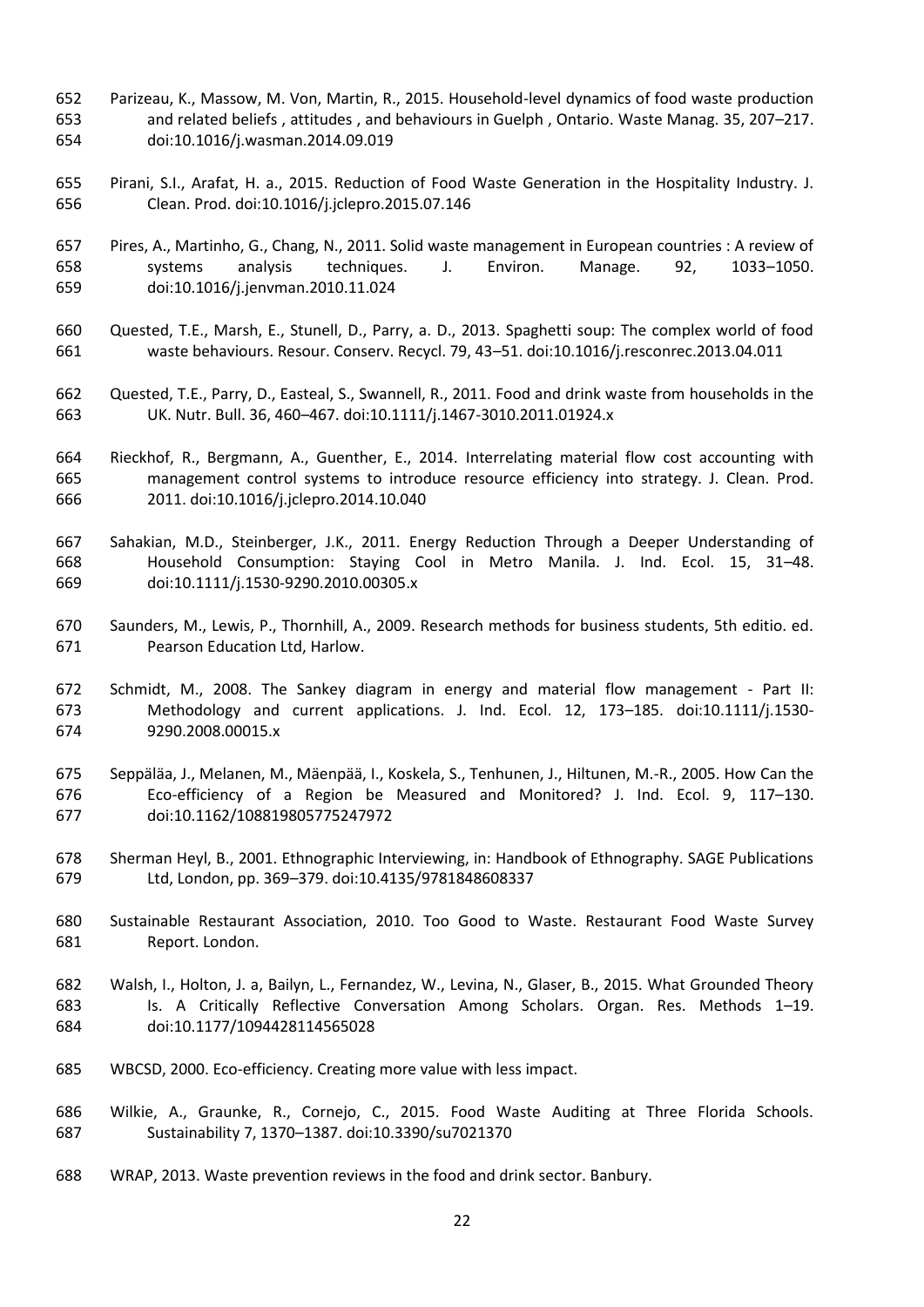- Parizeau, K., Massow, M. Von, Martin, R., 2015. Household-level dynamics of food waste production 653 and related beliefs, attitudes, and behaviours in Guelph, Ontario. Waste Manag. 35, 207-217. doi:10.1016/j.wasman.2014.09.019
- Pirani, S.I., Arafat, H. a., 2015. Reduction of Food Waste Generation in the Hospitality Industry. J. Clean. Prod. doi:10.1016/j.jclepro.2015.07.146
- 657 Pires, A., Martinho, G., Chang, N., 2011. Solid waste management in European countries : A review of 658 systems analysis techniques. J. Environ. Manage. 92, 1033-1050. doi:10.1016/j.jenvman.2010.11.024
- Quested, T.E., Marsh, E., Stunell, D., Parry, a. D., 2013. Spaghetti soup: The complex world of food 661 waste behaviours. Resour. Conserv. Recycl. 79, 43-51. doi:10.1016/j.resconrec.2013.04.011
- Quested, T.E., Parry, D., Easteal, S., Swannell, R., 2011. Food and drink waste from households in the 663 UK. Nutr. Bull. 36, 460-467. doi:10.1111/j.1467-3010.2011.01924.x
- Rieckhof, R., Bergmann, A., Guenther, E., 2014. Interrelating material flow cost accounting with management control systems to introduce resource efficiency into strategy. J. Clean. Prod. 2011. doi:10.1016/j.jclepro.2014.10.040
- Sahakian, M.D., Steinberger, J.K., 2011. Energy Reduction Through a Deeper Understanding of 668 Household Consumption: Staying Cool in Metro Manila. J. Ind. Ecol. 15, 31-48. doi:10.1111/j.1530-9290.2010.00305.x
- Saunders, M., Lewis, P., Thornhill, A., 2009. Research methods for business students, 5th editio. ed. Pearson Education Ltd, Harlow.
- Schmidt, M., 2008. The Sankey diagram in energy and material flow management Part II: 673 Methodology and current applications. J. Ind. Ecol. 12, 173-185. doi:10.1111/j.1530-9290.2008.00015.x
- 675 Seppäläa, J., Melanen, M., Mäenpää, I., Koskela, S., Tenhunen, J., Hiltunen, M.-R., 2005. How Can the 676 Eco-efficiency of a Region be Measured and Monitored? J. Ind. Ecol. 9, 117–130. doi:10.1162/108819805775247972
- Sherman Heyl, B., 2001. Ethnographic Interviewing, in: Handbook of Ethnography. SAGE Publications 679 Ltd, London, pp. 369-379. doi:10.4135/9781848608337
- Sustainable Restaurant Association, 2010. Too Good to Waste. Restaurant Food Waste Survey Report. London.
- Walsh, I., Holton, J. a, Bailyn, L., Fernandez, W., Levina, N., Glaser, B., 2015. What Grounded Theory 683 Is. A Critically Reflective Conversation Among Scholars. Organ. Res. Methods 1–19. doi:10.1177/1094428114565028
- WBCSD, 2000. Eco-efficiency. Creating more value with less impact.
- Wilkie, A., Graunke, R., Cornejo, C., 2015. Food Waste Auditing at Three Florida Schools. Sustainability 7, 1370に1387. doi:10.3390/su7021370
- WRAP, 2013. Waste prevention reviews in the food and drink sector. Banbury.